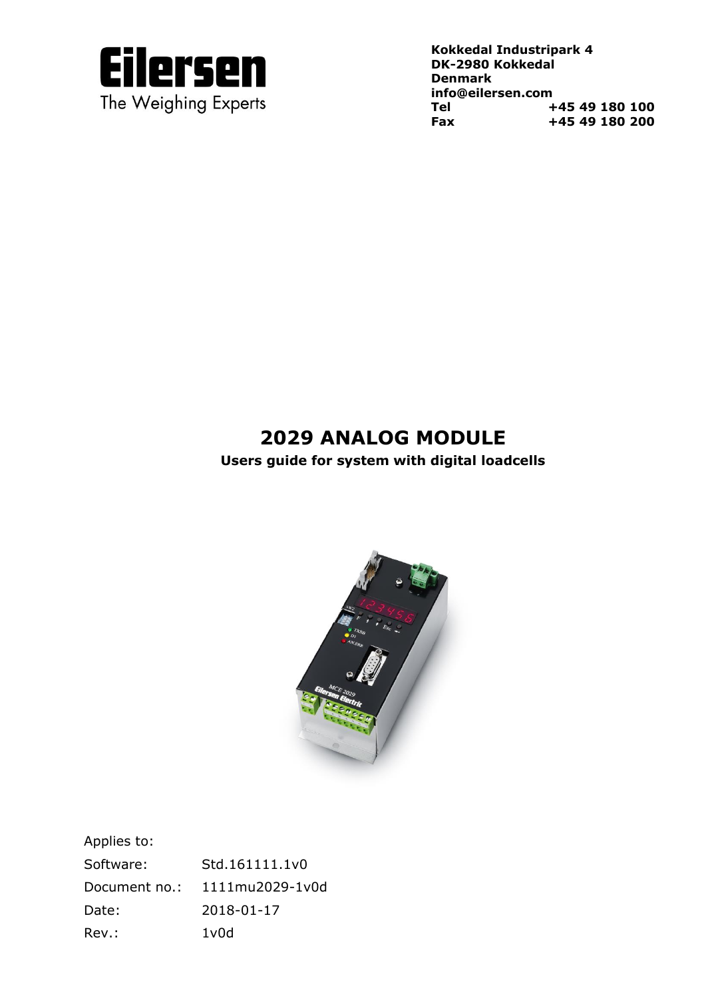

**Kokkedal Industripark 4 [info@eilersen.com](mailto:info@eilersen.com) Tel +45 49 180 100 Fax +45 49 180 200**

# **2029 ANALOG MODULE**

**Users guide for system with digital loadcells**



Applies to: Software: Std.161111.1v0 Document no.: 1111mu2029-1v0d Date: 2018-01-17 Rev.: 1v0d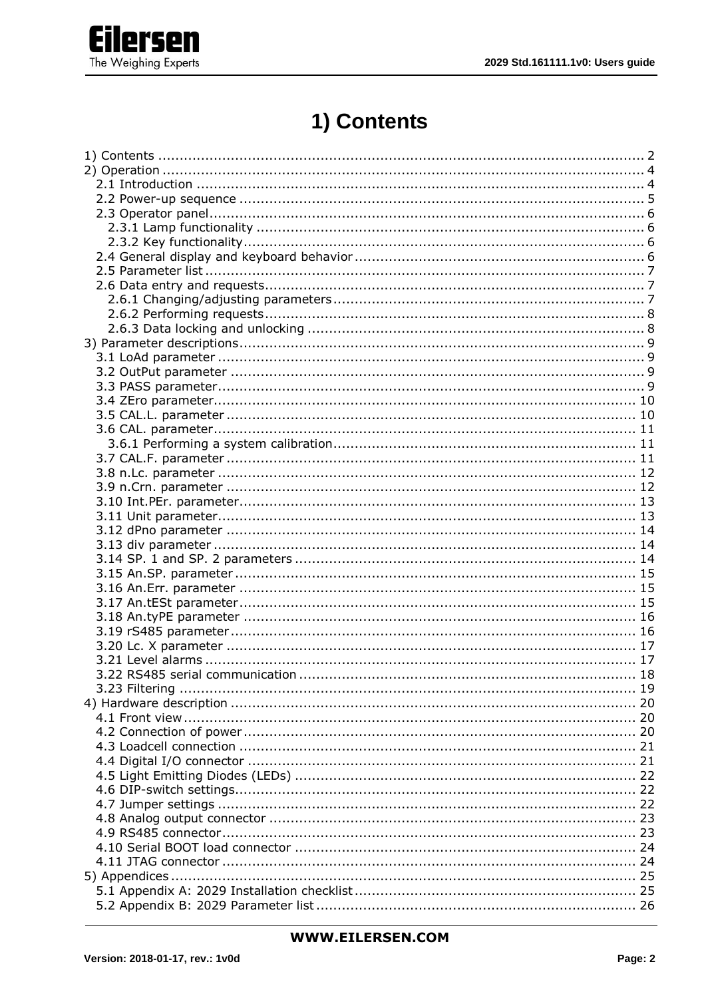

# 1) Contents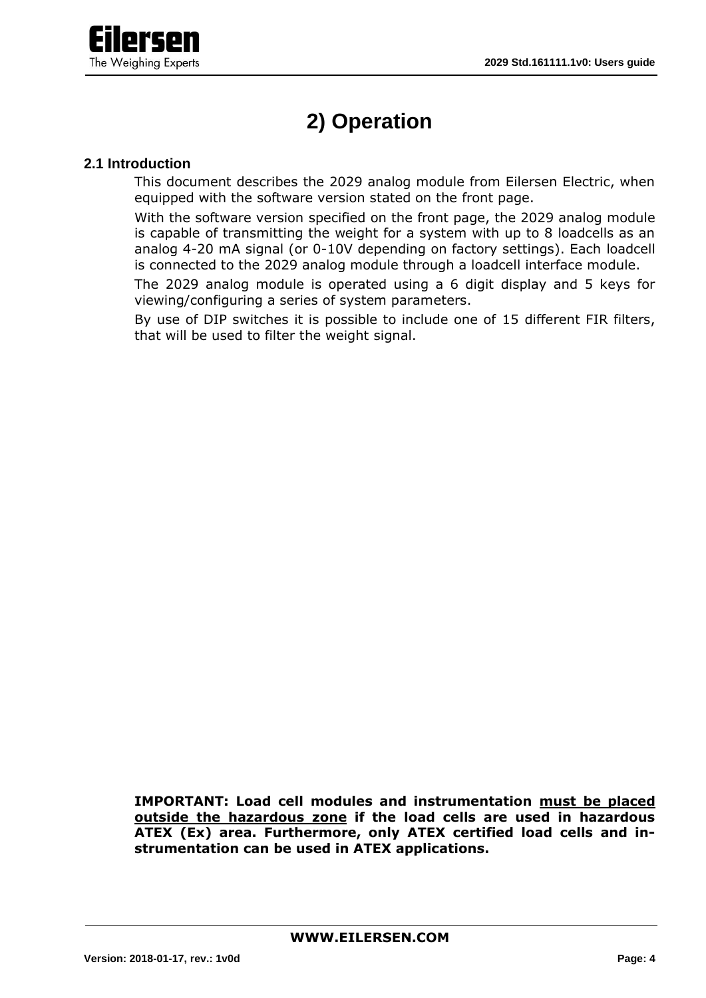

# **2) Operation**

#### **2.1 Introduction**

This document describes the 2029 analog module from Eilersen Electric, when equipped with the software version stated on the front page.

With the software version specified on the front page, the 2029 analog module is capable of transmitting the weight for a system with up to 8 loadcells as an analog 4-20 mA signal (or 0-10V depending on factory settings). Each loadcell is connected to the 2029 analog module through a loadcell interface module.

The 2029 analog module is operated using a 6 digit display and 5 keys for viewing/configuring a series of system parameters.

By use of DIP switches it is possible to include one of 15 different FIR filters, that will be used to filter the weight signal.

**IMPORTANT: Load cell modules and instrumentation must be placed outside the hazardous zone if the load cells are used in hazardous ATEX (Ex) area. Furthermore, only ATEX certified load cells and instrumentation can be used in ATEX applications.**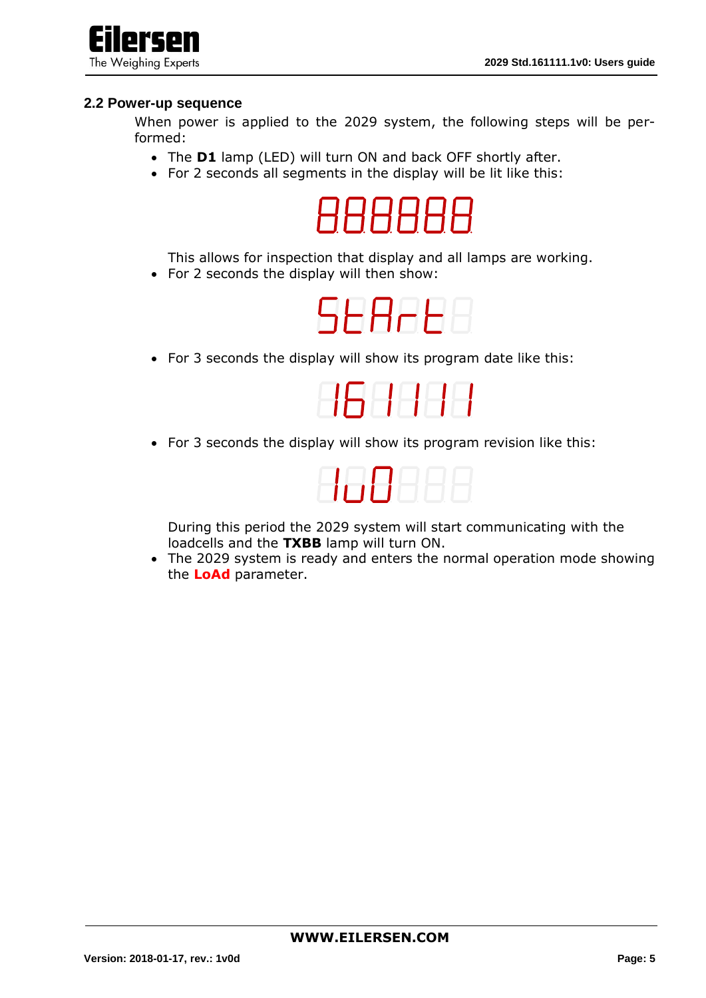

#### **2.2 Power-up sequence**

When power is applied to the 2029 system, the following steps will be performed:

- The **D1** lamp (LED) will turn ON and back OFF shortly after.
- For 2 seconds all segments in the display will be lit like this:



This allows for inspection that display and all lamps are working.

• For 2 seconds the display will then show:



• For 3 seconds the display will show its program date like this:

• For 3 seconds the display will show its program revision like this:



During this period the 2029 system will start communicating with the loadcells and the **TXBB** lamp will turn ON.

• The 2029 system is ready and enters the normal operation mode showing the **LoAd** parameter.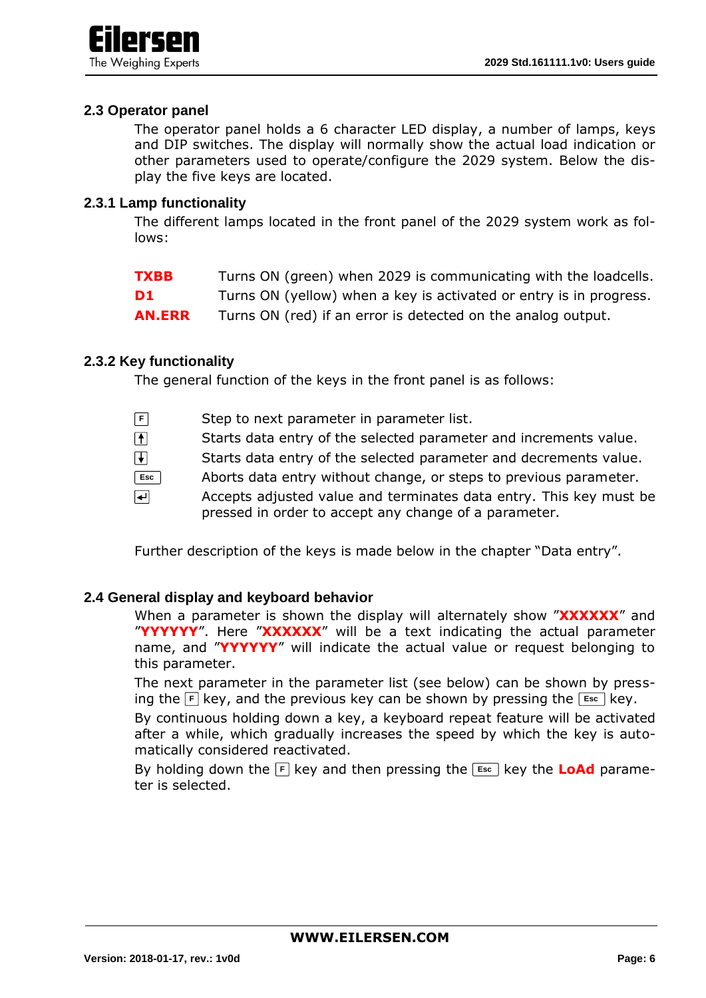

#### **2.3 Operator panel**

The operator panel holds a 6 character LED display, a number of lamps, keys and DIP switches. The display will normally show the actual load indication or other parameters used to operate/configure the 2029 system. Below the display the five keys are located.

#### **2.3.1 Lamp functionality**

The different lamps located in the front panel of the 2029 system work as follows:

| <b>TXBB</b>   | Turns ON (green) when 2029 is communicating with the loadcells.    |
|---------------|--------------------------------------------------------------------|
| D1            | Turns ON (yellow) when a key is activated or entry is in progress. |
| <b>AN.ERR</b> | Turns ON (red) if an error is detected on the analog output.       |

#### **2.3.2 Key functionality**

The general function of the keys in the front panel is as follows:

| $\lceil \mathsf{F} \rceil$            | Step to next parameter in parameter list.                                                                                   |
|---------------------------------------|-----------------------------------------------------------------------------------------------------------------------------|
| $\boxed{\textcolor{red}{\textbf{f}}}$ | Starts data entry of the selected parameter and increments value.                                                           |
| $\lceil \blacklozenge \rceil$         | Starts data entry of the selected parameter and decrements value.                                                           |
| $\boxed{\text{Esc}}$                  | Aborts data entry without change, or steps to previous parameter.                                                           |
| $\overline{\blacktriangleleft}$       | Accepts adjusted value and terminates data entry. This key must be<br>pressed in order to accept any change of a parameter. |
|                                       |                                                                                                                             |

Further description of the keys is made below in the chapter "Data entry".

#### **2.4 General display and keyboard behavior**

When a parameter is shown the display will alternately show "**XXXXXX**" and "**YYYYYY**". Here "**XXXXXX**" will be a text indicating the actual parameter name, and "**YYYYYY**" will indicate the actual value or request belonging to this parameter.

The next parameter in the parameter list (see below) can be shown by pressing the **F** key, and the previous key can be shown by pressing the **Esc** key.

By continuous holding down a key, a keyboard repeat feature will be activated after a while, which gradually increases the speed by which the key is automatically considered reactivated.

By holding down the  $\lceil \cdot \rceil$  key and then pressing the  $\lceil \cdot \rceil$  key the **LoAd** parameter is selected.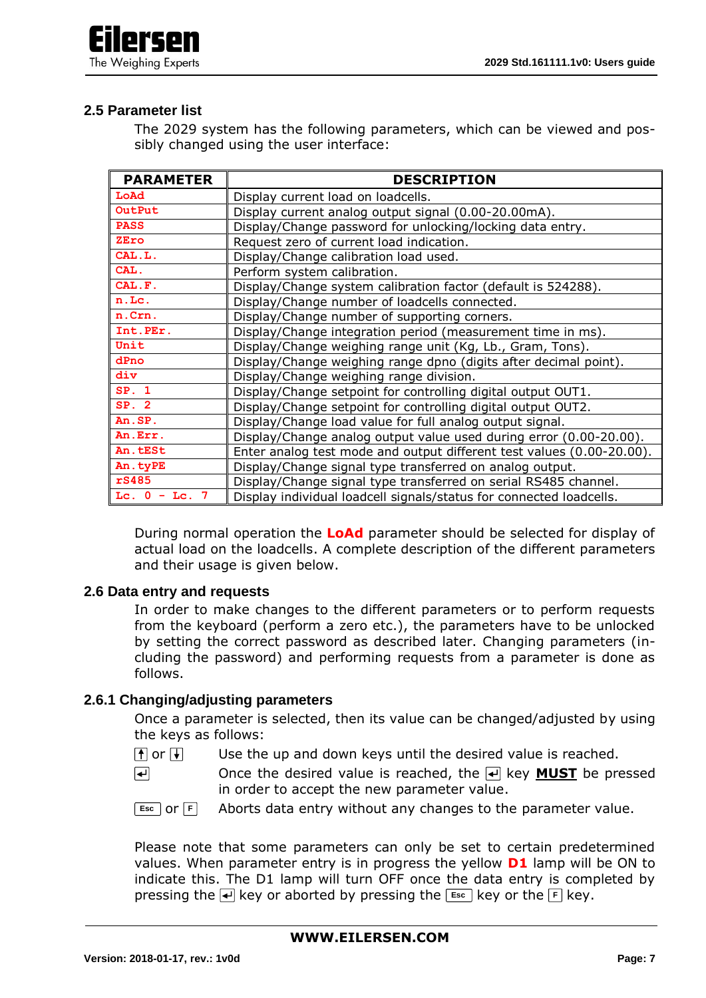

### **2.5 Parameter list**

The 2029 system has the following parameters, which can be viewed and possibly changed using the user interface:

| <b>PARAMETER</b> | <b>DESCRIPTION</b>                                                    |
|------------------|-----------------------------------------------------------------------|
| LoAd             | Display current load on loadcells.                                    |
| OutPut           | Display current analog output signal (0.00-20.00mA).                  |
| <b>PASS</b>      | Display/Change password for unlocking/locking data entry.             |
| ZEro             | Request zero of current load indication.                              |
| CAL.L.           | Display/Change calibration load used.                                 |
| CAL.             | Perform system calibration.                                           |
| CAL.F.           | Display/Change system calibration factor (default is 524288).         |
| n.Lc.            | Display/Change number of loadcells connected.                         |
| n.Crn.           | Display/Change number of supporting corners.                          |
| Int.PEr.         | Display/Change integration period (measurement time in ms).           |
| Unit             | Display/Change weighing range unit (Kg, Lb., Gram, Tons).             |
| dPno             | Display/Change weighing range dpno (digits after decimal point).      |
| div              | Display/Change weighing range division.                               |
| SP. 1            | Display/Change setpoint for controlling digital output OUT1.          |
| SP. 2            | Display/Change setpoint for controlling digital output OUT2.          |
| An.SP.           | Display/Change load value for full analog output signal.              |
| An.Err.          | Display/Change analog output value used during error (0.00-20.00).    |
| An.tESt          | Enter analog test mode and output different test values (0.00-20.00). |
| An.tyPE          | Display/Change signal type transferred on analog output.              |
| rS485            | Display/Change signal type transferred on serial RS485 channel.       |
| Lc. $0 -$ Lc. 7  | Display individual loadcell signals/status for connected loadcells.   |

During normal operation the **LoAd** parameter should be selected for display of actual load on the loadcells. A complete description of the different parameters and their usage is given below.

#### **2.6 Data entry and requests**

In order to make changes to the different parameters or to perform requests from the keyboard (perform a zero etc.), the parameters have to be unlocked by setting the correct password as described later. Changing parameters (including the password) and performing requests from a parameter is done as follows.

## **2.6.1 Changing/adjusting parameters**

Once a parameter is selected, then its value can be changed/adjusted by using the keys as follows:

- $\lceil \cdot \rceil$  or  $\lceil \cdot \rceil$  Use the up and down keys until the desired value is reached.
- $\overline{ }$ Once the desired value is reached, the  $\blacktriangleleft$  key **MUST** be pressed in order to accept the new parameter value.

**Esc** or **F** Aborts data entry without any changes to the parameter value.

Please note that some parameters can only be set to certain predetermined values. When parameter entry is in progress the yellow **D1** lamp will be ON to indicate this. The D1 lamp will turn OFF once the data entry is completed by pressing the  $\leftarrow$  key or aborted by pressing the **Esc** key or the **F** key.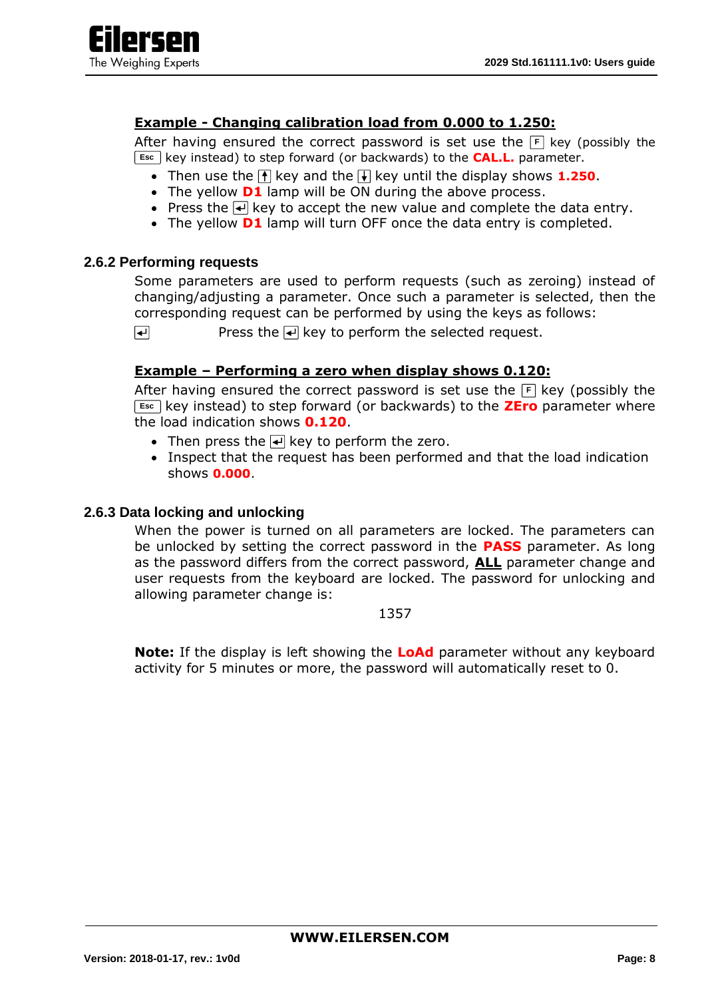

# **Example - Changing calibration load from 0.000 to 1.250:**

After having ensured the correct password is set use the **F** key (possibly the **Esc** key instead) to step forward (or backwards) to the **CAL.L.** parameter.

- Then use the  $\uparrow$  key and the  $\uparrow$  key until the display shows **1.250**.
- The yellow **D1** lamp will be ON during the above process.
- Press the  $\leftarrow$  key to accept the new value and complete the data entry.
- The yellow **D1** lamp will turn OFF once the data entry is completed.

#### **2.6.2 Performing requests**

Some parameters are used to perform requests (such as zeroing) instead of changing/adjusting a parameter. Once such a parameter is selected, then the corresponding request can be performed by using the keys as follows:

 $\overline{\blacktriangleleft}$ Press the  $\leftarrow$  key to perform the selected request.

#### **Example – Performing a zero when display shows 0.120:**

After having ensured the correct password is set use the **F** key (possibly the **Esc** key instead) to step forward (or backwards) to the **ZEro** parameter where the load indication shows **0.120**.

- Then press the  $\left| \cdot \right|$  key to perform the zero.
- Inspect that the request has been performed and that the load indication shows **0.000**.

#### **2.6.3 Data locking and unlocking**

When the power is turned on all parameters are locked. The parameters can be unlocked by setting the correct password in the **PASS** parameter. As long as the password differs from the correct password, **ALL** parameter change and user requests from the keyboard are locked. The password for unlocking and allowing parameter change is:

#### 1357

**Note:** If the display is left showing the **LoAd** parameter without any keyboard activity for 5 minutes or more, the password will automatically reset to 0.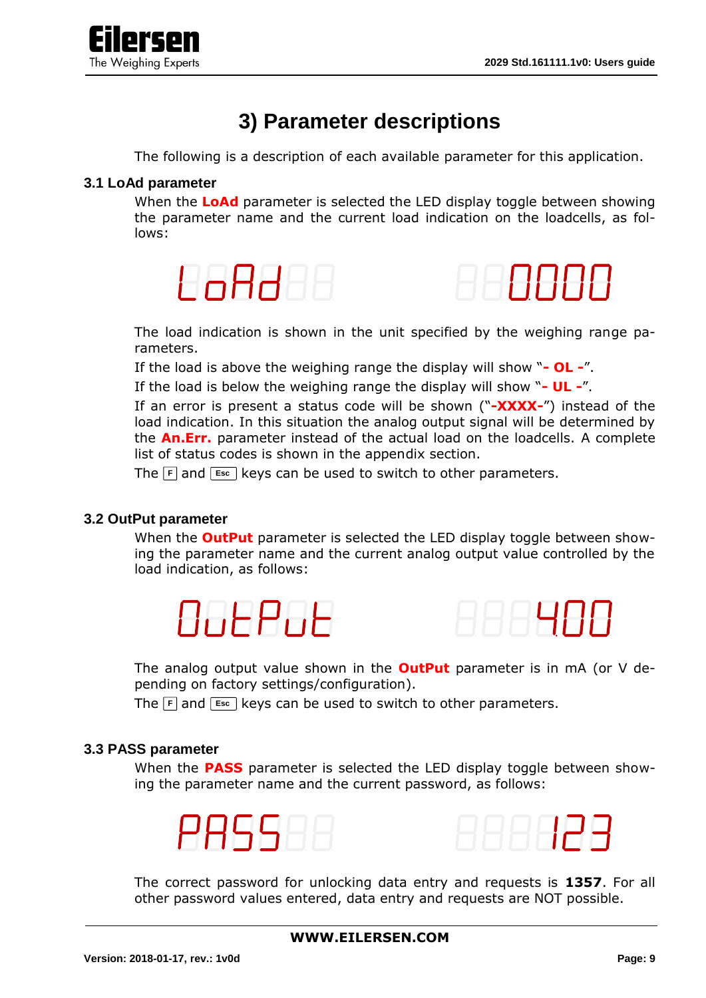

# **3) Parameter descriptions**

The following is a description of each available parameter for this application.

#### **3.1 LoAd parameter**

When the **LoAd** parameter is selected the LED display toggle between showing the parameter name and the current load indication on the loadcells, as follows:





The load indication is shown in the unit specified by the weighing range parameters.

If the load is above the weighing range the display will show "**- OL -**".

If the load is below the weighing range the display will show "**- UL -**".

If an error is present a status code will be shown ("**-XXXX-**") instead of the load indication. In this situation the analog output signal will be determined by the **An.Err.** parameter instead of the actual load on the loadcells. A complete list of status codes is shown in the appendix section.

The **F** and **Esc** keys can be used to switch to other parameters.

#### **3.2 OutPut parameter**

When the **OutPut** parameter is selected the LED display toggle between showing the parameter name and the current analog output value controlled by the load indication, as follows:





The analog output value shown in the **OutPut** parameter is in mA (or V depending on factory settings/configuration).

The **F** and **Esc** keys can be used to switch to other parameters.

#### **3.3 PASS parameter**

When the **PASS** parameter is selected the LED display toggle between showing the parameter name and the current password, as follows:





The correct password for unlocking data entry and requests is **1357**. For all other password values entered, data entry and requests are NOT possible.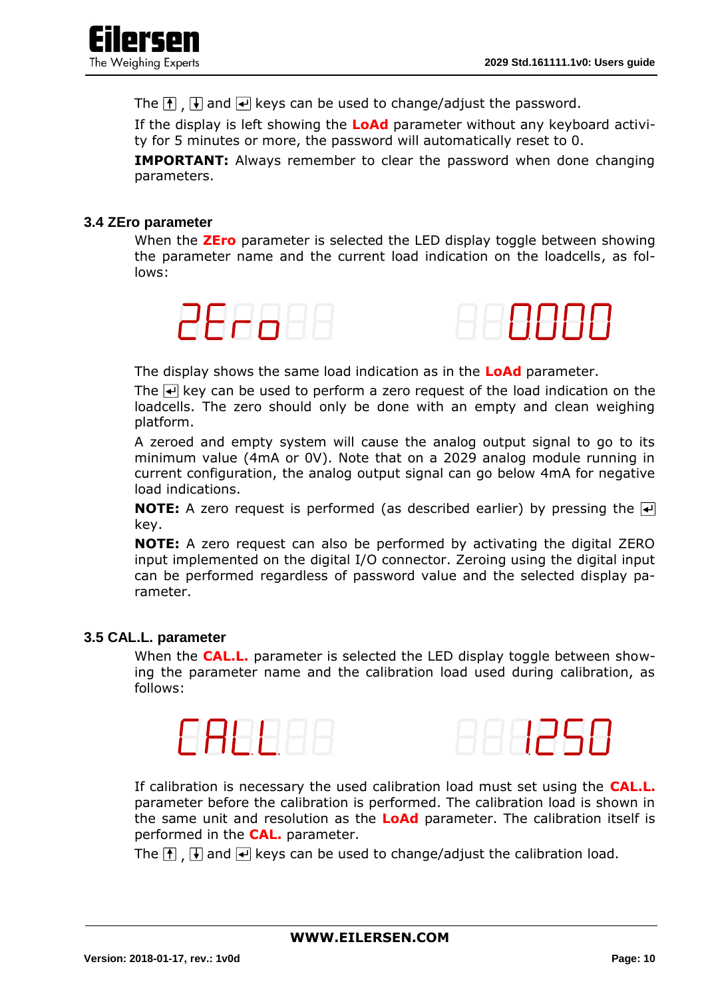

The  $\left| \cdot \right|$  and  $\left| \cdot \right|$  keys can be used to change/adjust the password.

If the display is left showing the **LoAd** parameter without any keyboard activity for 5 minutes or more, the password will automatically reset to 0.

**IMPORTANT:** Always remember to clear the password when done changing parameters.

#### **3.4 ZEro parameter**

When the **ZEro** parameter is selected the LED display toggle between showing the parameter name and the current load indication on the loadcells, as follows:





The display shows the same load indication as in the **LoAd** parameter.

The  $\leftarrow$  key can be used to perform a zero request of the load indication on the loadcells. The zero should only be done with an empty and clean weighing platform.

A zeroed and empty system will cause the analog output signal to go to its minimum value (4mA or 0V). Note that on a 2029 analog module running in current configuration, the analog output signal can go below 4mA for negative load indications.

**NOTE:** A zero request is performed (as described earlier) by pressing the  $\rightarrow$ key.

**NOTE:** A zero request can also be performed by activating the digital ZERO input implemented on the digital I/O connector. Zeroing using the digital input can be performed regardless of password value and the selected display parameter.

#### **3.5 CAL.L. parameter**

When the **CAL.L.** parameter is selected the LED display toggle between showing the parameter name and the calibration load used during calibration, as follows:





If calibration is necessary the used calibration load must set using the **CAL.L.** parameter before the calibration is performed. The calibration load is shown in the same unit and resolution as the **LoAd** parameter. The calibration itself is performed in the **CAL.** parameter.

The  $\left[\uparrow\right]$ ,  $\left[\downarrow\right]$  and  $\left[\downarrow\right]$  keys can be used to change/adjust the calibration load.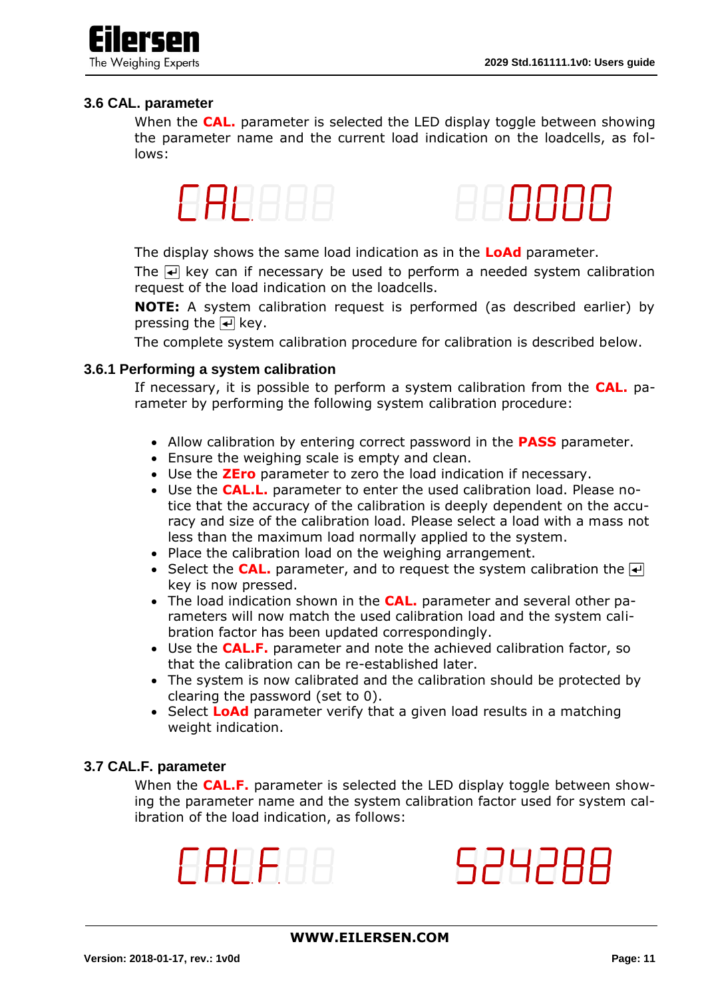

#### **3.6 CAL. parameter**

When the **CAL.** parameter is selected the LED display toggle between showing the parameter name and the current load indication on the loadcells, as follows:





The display shows the same load indication as in the **LoAd** parameter.

The  $\leftarrow$  key can if necessary be used to perform a needed system calibration request of the load indication on the loadcells.

**NOTE:** A system calibration request is performed (as described earlier) by pressing the  $\leftarrow$  key.

The complete system calibration procedure for calibration is described below.

#### **3.6.1 Performing a system calibration**

If necessary, it is possible to perform a system calibration from the **CAL.** parameter by performing the following system calibration procedure:

- Allow calibration by entering correct password in the **PASS** parameter.
- Ensure the weighing scale is empty and clean.
- Use the **ZEro** parameter to zero the load indication if necessary.
- Use the **CAL.L.** parameter to enter the used calibration load. Please notice that the accuracy of the calibration is deeply dependent on the accuracy and size of the calibration load. Please select a load with a mass not less than the maximum load normally applied to the system.
- Place the calibration load on the weighing arrangement.
- Select the **CAL.** parameter, and to request the system calibration the  $\leftarrow$ key is now pressed.
- The load indication shown in the **CAL.** parameter and several other parameters will now match the used calibration load and the system calibration factor has been updated correspondingly.
- Use the **CAL.F.** parameter and note the achieved calibration factor, so that the calibration can be re-established later.
- The system is now calibrated and the calibration should be protected by clearing the password (set to 0).
- Select **LoAd** parameter verify that a given load results in a matching weight indication.

#### **3.7 CAL.F. parameter**

When the **CAL.F.** parameter is selected the LED display toggle between showing the parameter name and the system calibration factor used for system calibration of the load indication, as follows:



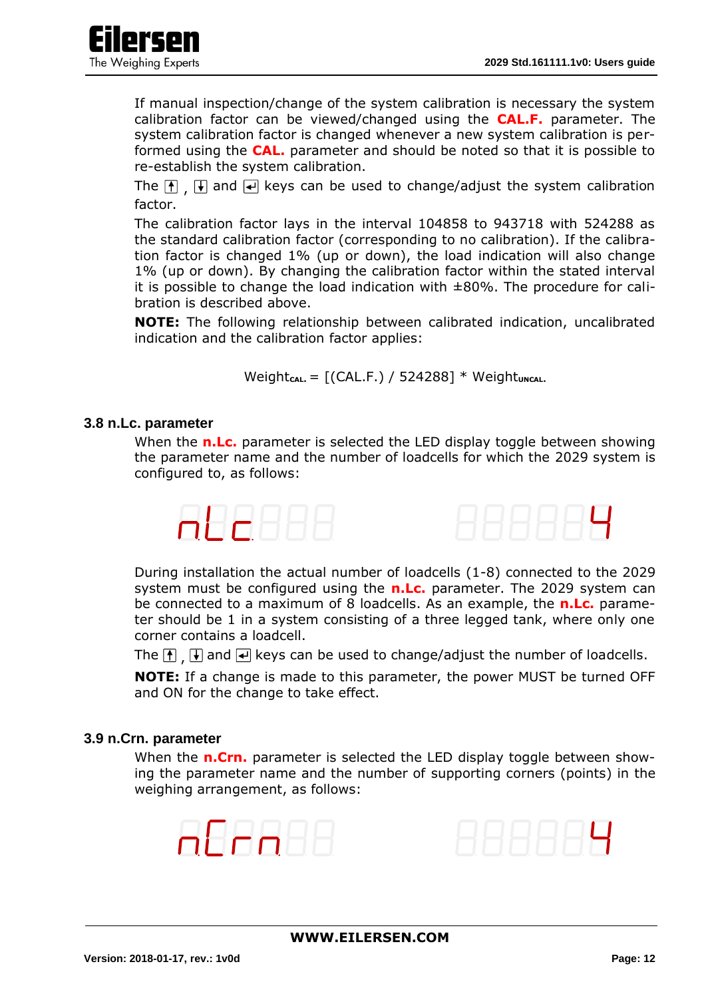

If manual inspection/change of the system calibration is necessary the system calibration factor can be viewed/changed using the **CAL.F.** parameter. The system calibration factor is changed whenever a new system calibration is performed using the **CAL.** parameter and should be noted so that it is possible to re-establish the system calibration.

The  $\uparrow$  ,  $\uparrow$  and  $\uparrow$  keys can be used to change/adjust the system calibration factor.

The calibration factor lays in the interval 104858 to 943718 with 524288 as the standard calibration factor (corresponding to no calibration). If the calibration factor is changed 1% (up or down), the load indication will also change 1% (up or down). By changing the calibration factor within the stated interval it is possible to change the load indication with ±80%. The procedure for calibration is described above.

**NOTE:** The following relationship between calibrated indication, uncalibrated indication and the calibration factor applies:

 $Weight_{CAL.} = [(CAL.F.) / 524288] * Weight_{UNCAL}.$ 

#### **3.8 n.Lc. parameter**

When the **n.Lc.** parameter is selected the LED display toggle between showing the parameter name and the number of loadcells for which the 2029 system is configured to, as follows:



During installation the actual number of loadcells (1-8) connected to the 2029 system must be configured using the **n.Lc.** parameter. The 2029 system can be connected to a maximum of 8 loadcells. As an example, the **n.Lc.** parameter should be 1 in a system consisting of a three legged tank, where only one corner contains a loadcell.

The  $\Box$  and  $\Box$  keys can be used to change/adjust the number of loadcells.

**NOTE:** If a change is made to this parameter, the power MUST be turned OFF and ON for the change to take effect.

#### **3.9 n.Crn. parameter**

When the **n.Crn.** parameter is selected the LED display toggle between showing the parameter name and the number of supporting corners (points) in the weighing arrangement, as follows:



888888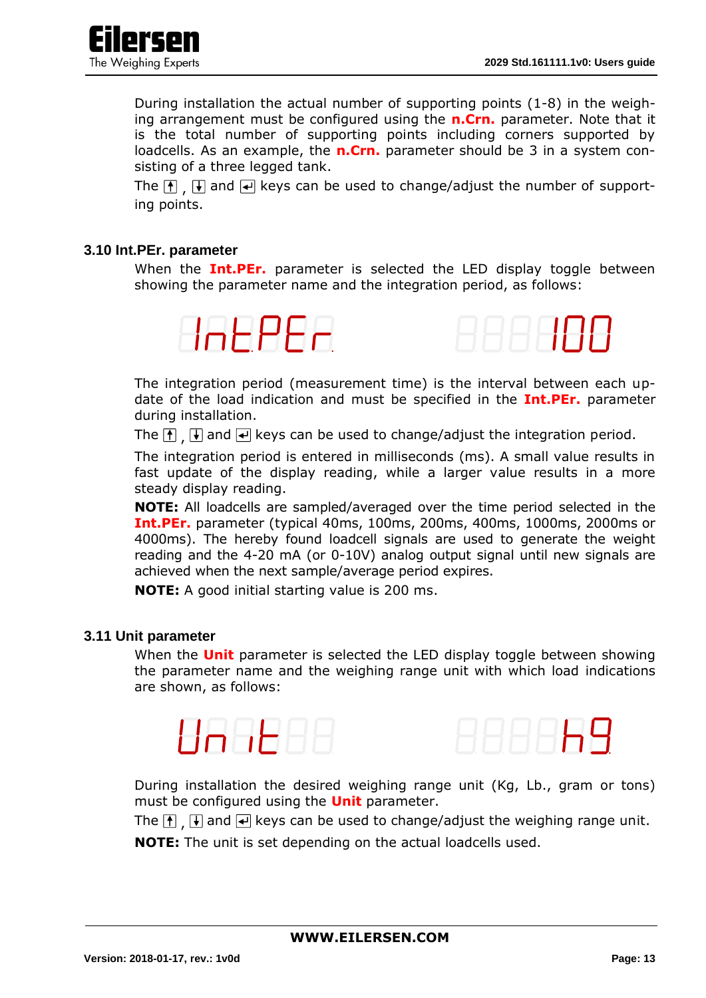

During installation the actual number of supporting points (1-8) in the weighing arrangement must be configured using the **n.Crn.** parameter. Note that it is the total number of supporting points including corners supported by loadcells. As an example, the **n.Crn.** parameter should be 3 in a system consisting of a three legged tank.

The  $\left| \cdot \right|$ ,  $\left| \cdot \right|$  and  $\left| \cdot \right|$  keys can be used to change/adjust the number of supporting points.

#### **3.10 Int.PEr. parameter**

When the **Int.PEr.** parameter is selected the LED display toggle between showing the parameter name and the integration period, as follows:



HHHHH

The integration period (measurement time) is the interval between each update of the load indication and must be specified in the **Int.PEr.** parameter during installation.

The  $\bigcap$   $\bigcap$  and  $\bigcup$  keys can be used to change/adjust the integration period.

The integration period is entered in milliseconds (ms). A small value results in fast update of the display reading, while a larger value results in a more steady display reading.

**NOTE:** All loadcells are sampled/averaged over the time period selected in the **Int.PEr.** parameter (typical 40ms, 100ms, 200ms, 400ms, 1000ms, 2000ms or 4000ms). The hereby found loadcell signals are used to generate the weight reading and the 4-20 mA (or 0-10V) analog output signal until new signals are achieved when the next sample/average period expires.

**NOTE:** A good initial starting value is 200 ms.

#### **3.11 Unit parameter**

When the **Unit** parameter is selected the LED display toggle between showing the parameter name and the weighing range unit with which load indications are shown, as follows:





During installation the desired weighing range unit (Kg, Lb., gram or tons) must be configured using the **Unit** parameter.

The  $\left[\bigoplus$ ,  $\left[\bigoplus$  and  $\right]$  keys can be used to change/adjust the weighing range unit.

**NOTE:** The unit is set depending on the actual loadcells used.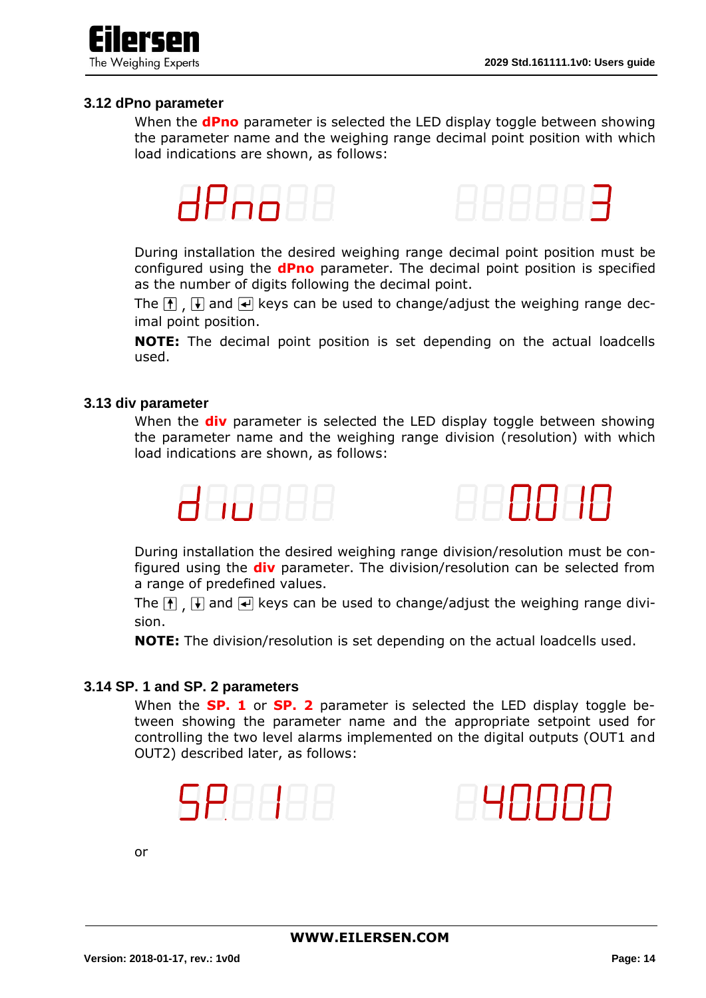

#### **3.12 dPno parameter**

When the **dPno** parameter is selected the LED display toggle between showing the parameter name and the weighing range decimal point position with which load indications are shown, as follows:



During installation the desired weighing range decimal point position must be configured using the **dPno** parameter. The decimal point position is specified as the number of digits following the decimal point.

The  $\left| \cdot \right|$ ,  $\left| \cdot \right|$  and  $\left| \cdot \right|$  keys can be used to change/adjust the weighing range decimal point position.

**NOTE:** The decimal point position is set depending on the actual loadcells used.

#### **3.13 div parameter**

When the **div** parameter is selected the LED display toggle between showing the parameter name and the weighing range division (resolution) with which load indications are shown, as follows:



During installation the desired weighing range division/resolution must be configured using the **div** parameter. The division/resolution can be selected from a range of predefined values.

The  $\left| \right|$ ,  $\left| \right|$  and  $\left| \right|$  keys can be used to change/adjust the weighing range division.

**NOTE:** The division/resolution is set depending on the actual loadcells used.

#### **3.14 SP. 1 and SP. 2 parameters**

When the **SP. 1** or **SP. 2** parameter is selected the LED display toggle between showing the parameter name and the appropriate setpoint used for controlling the two level alarms implemented on the digital outputs (OUT1 and OUT2) described later, as follows:





or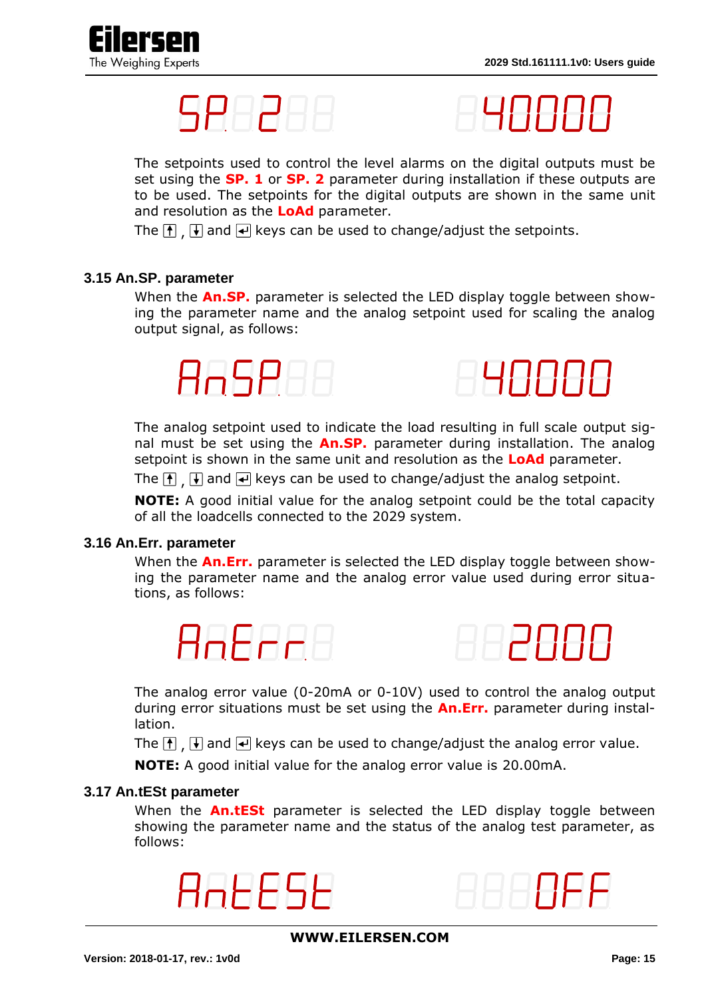





The setpoints used to control the level alarms on the digital outputs must be set using the **SP. 1** or **SP. 2** parameter during installation if these outputs are to be used. The setpoints for the digital outputs are shown in the same unit and resolution as the **LoAd** parameter.

The  $\left| \right|$ ,  $\left| \right|$  and  $\left| \right|$  keys can be used to change/adjust the setpoints.

# **3.15 An.SP. parameter**

When the **An.SP.** parameter is selected the LED display toggle between showing the parameter name and the analog setpoint used for scaling the analog output signal, as follows:



The analog setpoint used to indicate the load resulting in full scale output signal must be set using the **An.SP.** parameter during installation. The analog setpoint is shown in the same unit and resolution as the **LoAd** parameter.

The  $\bigcap$ ,  $\bigcup$  and  $\bigoplus$  keys can be used to change/adjust the analog setpoint.

**NOTE:** A good initial value for the analog setpoint could be the total capacity of all the loadcells connected to the 2029 system.

#### **3.16 An.Err. parameter**

When the **An.Err.** parameter is selected the LED display toggle between showing the parameter name and the analog error value used during error situations, as follows:

# AnErra



The analog error value (0-20mA or 0-10V) used to control the analog output during error situations must be set using the **An.Err.** parameter during installation.

The  $\bigcap$  ,  $\bigcup$  and  $\bigtriangleup$  keys can be used to change/adjust the analog error value.

**NOTE:** A good initial value for the analog error value is 20.00mA.

#### **3.17 An.tESt parameter**

When the **An.tESt** parameter is selected the LED display toggle between showing the parameter name and the status of the analog test parameter, as follows:



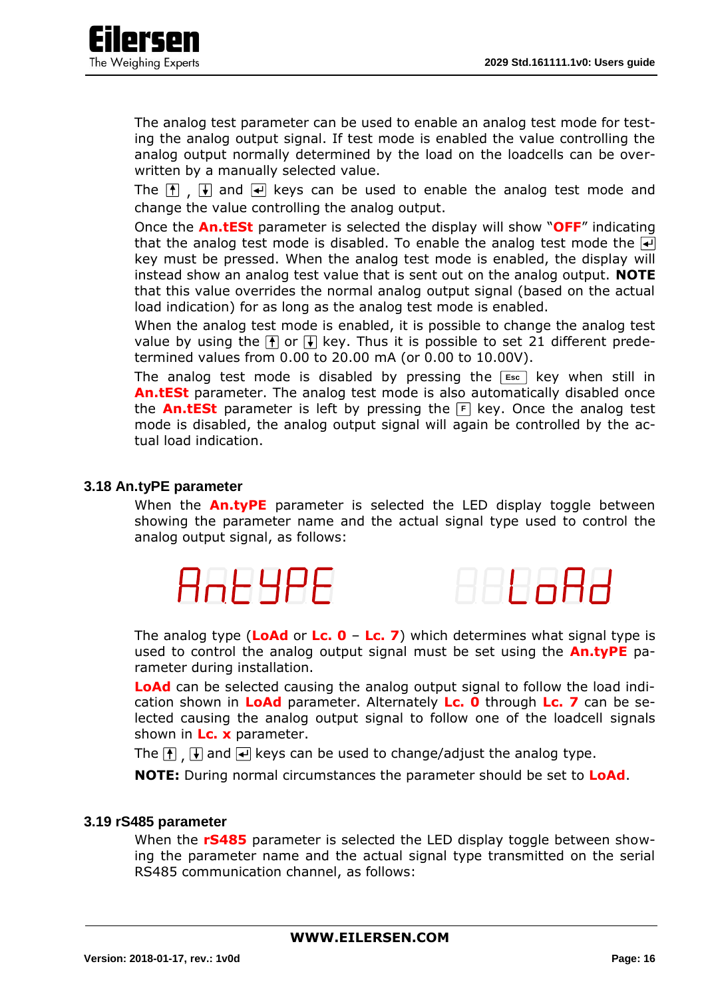

The analog test parameter can be used to enable an analog test mode for testing the analog output signal. If test mode is enabled the value controlling the analog output normally determined by the load on the loadcells can be overwritten by a manually selected value.

The  $\bigcap$ ,  $\bigcup$  and  $\bigoplus$  keys can be used to enable the analog test mode and change the value controlling the analog output.

Once the **An.tESt** parameter is selected the display will show "**OFF**" indicating that the analog test mode is disabled. To enable the analog test mode the  $\leftarrow$ key must be pressed. When the analog test mode is enabled, the display will instead show an analog test value that is sent out on the analog output. **NOTE** that this value overrides the normal analog output signal (based on the actual load indication) for as long as the analog test mode is enabled.

When the analog test mode is enabled, it is possible to change the analog test value by using the  $\left| \uparrow \right|$  or  $\left| \downarrow \right|$  key. Thus it is possible to set 21 different predetermined values from 0.00 to 20.00 mA (or 0.00 to 10.00V).

The analog test mode is disabled by pressing the **Esc** key when still in **An.tESt** parameter. The analog test mode is also automatically disabled once the **An.tESt** parameter is left by pressing the **F** key. Once the analog test mode is disabled, the analog output signal will again be controlled by the actual load indication.

#### **3.18 An.tyPE parameter**

When the **An.tyPE** parameter is selected the LED display toggle between showing the parameter name and the actual signal type used to control the analog output signal, as follows:

*AntyPE* 



The analog type (**LoAd** or **Lc. 0** – **Lc. 7**) which determines what signal type is used to control the analog output signal must be set using the **An.tyPE** parameter during installation.

**LoAd** can be selected causing the analog output signal to follow the load indication shown in **LoAd** parameter. Alternately **Lc. 0** through **Lc. 7** can be selected causing the analog output signal to follow one of the loadcell signals shown in **Lc. x** parameter.

The  $\left| \cdot \right|$ ,  $\left| \cdot \right|$  and  $\left| \cdot \right|$  keys can be used to change/adjust the analog type.

**NOTE:** During normal circumstances the parameter should be set to **LoAd**.

#### **3.19 rS485 parameter**

When the **rS485** parameter is selected the LED display toggle between showing the parameter name and the actual signal type transmitted on the serial RS485 communication channel, as follows: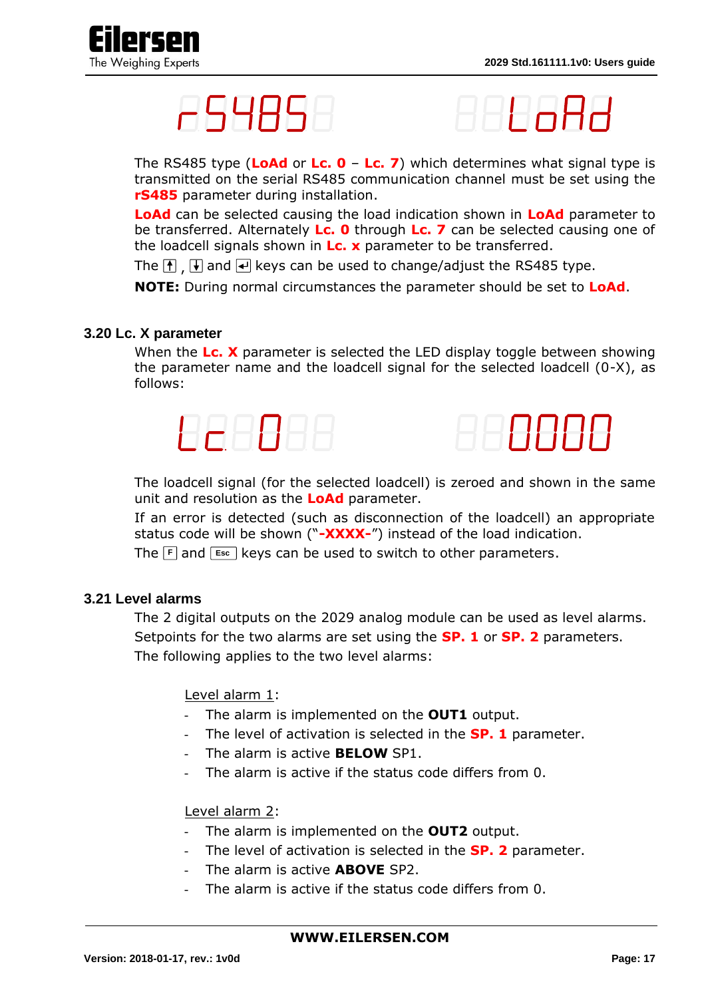

# $\overline{\phantom{0}}$   $\overline{\phantom{0}}$   $\overline{\phantom{0}}$   $\overline{\phantom{0}}$   $\overline{\phantom{0}}$   $\overline{\phantom{0}}$   $\overline{\phantom{0}}$   $\overline{\phantom{0}}$   $\overline{\phantom{0}}$   $\overline{\phantom{0}}$   $\overline{\phantom{0}}$   $\overline{\phantom{0}}$   $\overline{\phantom{0}}$   $\overline{\phantom{0}}$   $\overline{\phantom{0}}$   $\overline{\phantom{0}}$   $\overline{\phantom{0}}$   $\overline{\phantom{0}}$   $\overline{\$



The RS485 type (**LoAd** or **Lc. 0** – **Lc. 7**) which determines what signal type is transmitted on the serial RS485 communication channel must be set using the **rS485** parameter during installation.

**LoAd** can be selected causing the load indication shown in **LoAd** parameter to be transferred. Alternately **Lc. 0** through **Lc. 7** can be selected causing one of the loadcell signals shown in **Lc. x** parameter to be transferred.

The  $\left| \cdot \right|$ ,  $\left| \cdot \right|$  and  $\left| \cdot \right|$  keys can be used to change/adjust the RS485 type.

**NOTE:** During normal circumstances the parameter should be set to **LoAd**.

# **3.20 Lc. X parameter**

When the **Lc. X** parameter is selected the LED display toggle between showing the parameter name and the loadcell signal for the selected loadcell (0-X), as follows:





The loadcell signal (for the selected loadcell) is zeroed and shown in the same unit and resolution as the **LoAd** parameter.

If an error is detected (such as disconnection of the loadcell) an appropriate status code will be shown ("**-XXXX-**") instead of the load indication.

The **F** and **Esc** keys can be used to switch to other parameters.

## **3.21 Level alarms**

The 2 digital outputs on the 2029 analog module can be used as level alarms. Setpoints for the two alarms are set using the **SP. 1** or **SP. 2** parameters. The following applies to the two level alarms:

Level alarm 1:

- The alarm is implemented on the **OUT1** output.
- The level of activation is selected in the **SP. 1** parameter.
- The alarm is active **BELOW** SP1.
- The alarm is active if the status code differs from 0.

## Level alarm 2:

- The alarm is implemented on the **OUT2** output.
- The level of activation is selected in the **SP. 2** parameter.
- The alarm is active **ABOVE** SP2.
- The alarm is active if the status code differs from 0.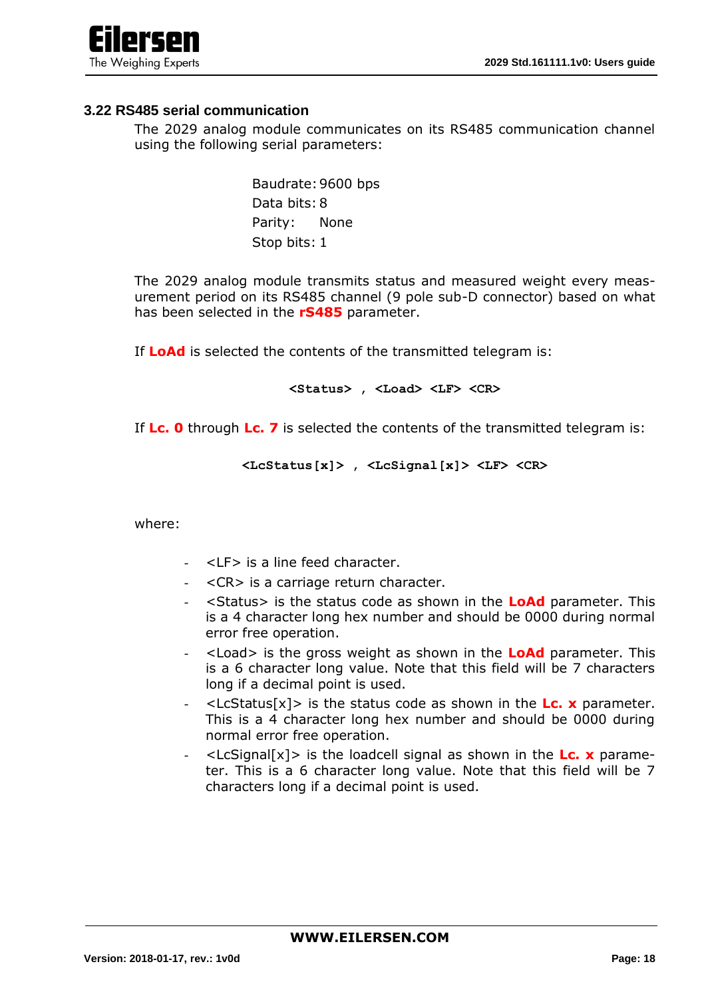

#### **3.22 RS485 serial communication**

The 2029 analog module communicates on its RS485 communication channel using the following serial parameters:

> Baudrate:9600 bps Data bits: 8 Parity: None Stop bits: 1

The 2029 analog module transmits status and measured weight every measurement period on its RS485 channel (9 pole sub-D connector) based on what has been selected in the **rS485** parameter.

If **LoAd** is selected the contents of the transmitted telegram is:

#### **<Status> , <Load> <LF> <CR>**

If **Lc. 0** through **Lc. 7** is selected the contents of the transmitted telegram is:

**<LcStatus[x]> , <LcSignal[x]> <LF> <CR>**

where:

- $\lt$ LF $>$  is a line feed character.
- <CR> is a carriage return character.
- <Status> is the status code as shown in the **LoAd** parameter. This is a 4 character long hex number and should be 0000 during normal error free operation.
- <Load> is the gross weight as shown in the **LoAd** parameter. This is a 6 character long value. Note that this field will be 7 characters long if a decimal point is used.
- $\langle$ LcStatus[x]> is the status code as shown in the **Lc. x** parameter. This is a 4 character long hex number and should be 0000 during normal error free operation.
- <LcSignal[x]> is the loadcell signal as shown in the **Lc. x** parameter. This is a 6 character long value. Note that this field will be 7 characters long if a decimal point is used.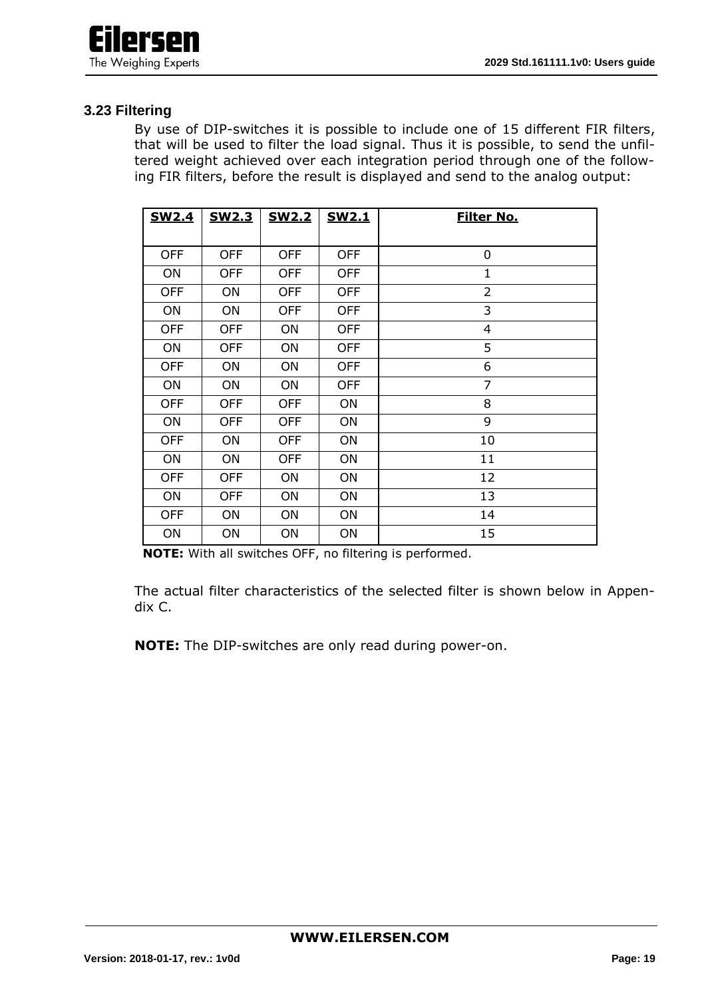

## **3.23 Filtering**

By use of DIP-switches it is possible to include one of 15 different FIR filters, that will be used to filter the load signal. Thus it is possible, to send the unfiltered weight achieved over each integration period through one of the following FIR filters, before the result is displayed and send to the analog output:

| <b>SW2.4</b> | <b>SW2.3</b> | <b>SW2.2</b> | <b>SW2.1</b> | Filter No.     |
|--------------|--------------|--------------|--------------|----------------|
|              |              |              |              |                |
| <b>OFF</b>   | <b>OFF</b>   | <b>OFF</b>   | <b>OFF</b>   | 0              |
| ON           | <b>OFF</b>   | <b>OFF</b>   | <b>OFF</b>   | 1              |
| <b>OFF</b>   | ON           | <b>OFF</b>   | <b>OFF</b>   | 2              |
| ON           | ON           | <b>OFF</b>   | <b>OFF</b>   | 3              |
| <b>OFF</b>   | <b>OFF</b>   | ON           | <b>OFF</b>   | $\overline{4}$ |
| ON           | <b>OFF</b>   | ON           | <b>OFF</b>   | 5              |
| <b>OFF</b>   | ON           | ON           | <b>OFF</b>   | 6              |
| ON           | ON           | ON           | <b>OFF</b>   | $\overline{7}$ |
| <b>OFF</b>   | <b>OFF</b>   | <b>OFF</b>   | ON           | 8              |
| ON           | <b>OFF</b>   | <b>OFF</b>   | ON           | 9              |
| <b>OFF</b>   | ON           | <b>OFF</b>   | ON           | 10             |
| ON           | ON           | <b>OFF</b>   | ON           | 11             |
| <b>OFF</b>   | <b>OFF</b>   | ON           | ON           | 12             |
| ON           | <b>OFF</b>   | ON           | ON           | 13             |
| <b>OFF</b>   | ON           | ON           | ON           | 14             |
| ON           | ON           | ON           | ON           | 15             |

**NOTE:** With all switches OFF, no filtering is performed.

The actual filter characteristics of the selected filter is shown below in Appendix C.

**NOTE:** The DIP-switches are only read during power-on.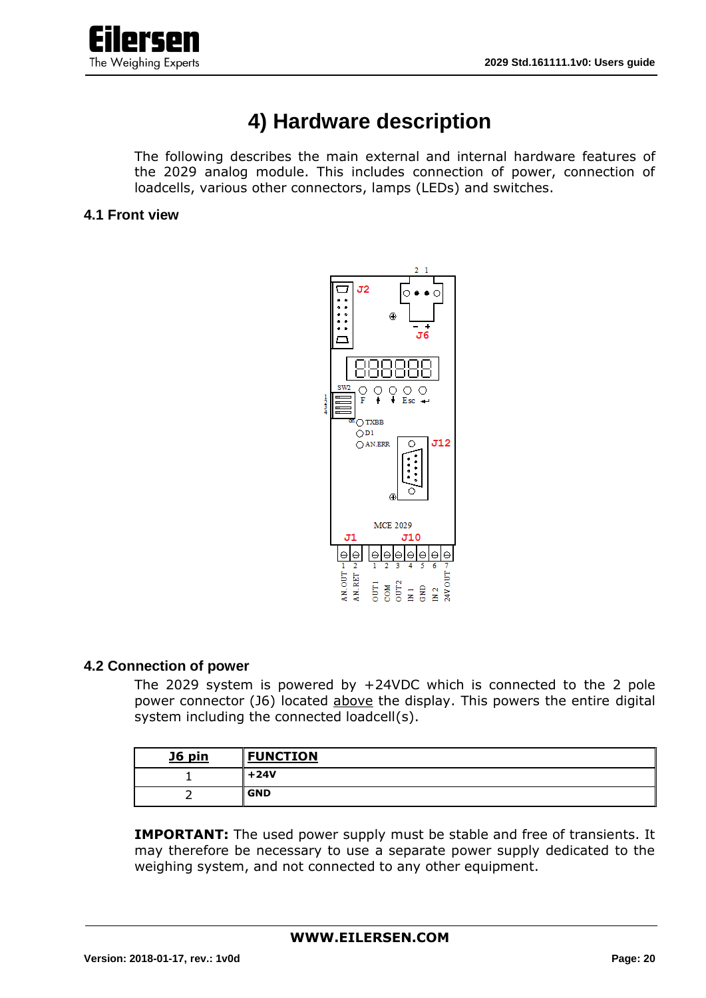

# **4) Hardware description**

The following describes the main external and internal hardware features of the 2029 analog module. This includes connection of power, connection of loadcells, various other connectors, lamps (LEDs) and switches.

**4.1 Front view**



# **4.2 Connection of power**

The 2029 system is powered by +24VDC which is connected to the 2 pole power connector (J6) located above the display. This powers the entire digital system including the connected loadcell(s).

| <b>J6 pin</b> | <b>FUNCTION</b> |
|---------------|-----------------|
|               | $+24V$          |
|               | <b>GND</b>      |

**IMPORTANT:** The used power supply must be stable and free of transients. It may therefore be necessary to use a separate power supply dedicated to the weighing system, and not connected to any other equipment.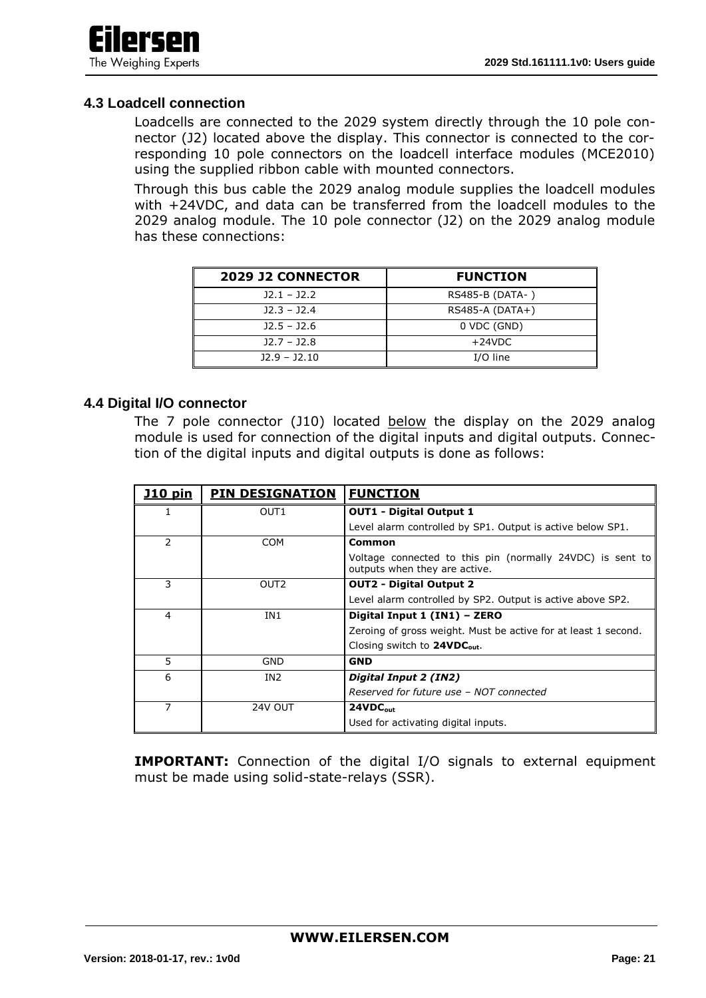

### **4.3 Loadcell connection**

Loadcells are connected to the 2029 system directly through the 10 pole connector (J2) located above the display. This connector is connected to the corresponding 10 pole connectors on the loadcell interface modules (MCE2010) using the supplied ribbon cable with mounted connectors.

Through this bus cable the 2029 analog module supplies the loadcell modules with +24VDC, and data can be transferred from the loadcell modules to the 2029 analog module. The 10 pole connector (J2) on the 2029 analog module has these connections:

| <b>2029 J2 CONNECTOR</b> | <b>FUNCTION</b>   |
|--------------------------|-------------------|
| $12.1 - 12.2$            | RS485-B (DATA-)   |
| $12.3 - 12.4$            | $RS485-A (DATA+)$ |
| $12.5 - 12.6$            | 0 VDC (GND)       |
| $12.7 - 12.8$            | $+24VDC$          |
| $J2.9 - J2.10$           | $I/O$ line        |

#### **4.4 Digital I/O connector**

The 7 pole connector (J10) located below the display on the 2029 analog module is used for connection of the digital inputs and digital outputs. Connection of the digital inputs and digital outputs is done as follows:

| <u>J10 pin</u> | <b>PIN DESIGNATION</b> | <b>FUNCTION</b>                                                                            |
|----------------|------------------------|--------------------------------------------------------------------------------------------|
| 1.             | OUT <sub>1</sub>       | <b>OUT1 - Digital Output 1</b>                                                             |
|                |                        | Level alarm controlled by SP1. Output is active below SP1.                                 |
| $\mathcal{P}$  | <b>COM</b>             | Common                                                                                     |
|                |                        | Voltage connected to this pin (normally 24VDC) is sent to<br>outputs when they are active. |
| 3              | OUT <sub>2</sub>       | <b>OUT2 - Digital Output 2</b>                                                             |
|                |                        | Level alarm controlled by SP2. Output is active above SP2.                                 |
| $\overline{4}$ | IN1                    | Digital Input 1 (IN1) - ZERO                                                               |
|                |                        | Zeroing of gross weight. Must be active for at least 1 second.                             |
|                |                        | Closing switch to 24VDC <sub>out</sub> .                                                   |
| 5              | GND                    | <b>GND</b>                                                                                 |
| 6              | IN <sub>2</sub>        | Digital Input 2 (IN2)                                                                      |
|                |                        | Reserved for future use - NOT connected                                                    |
| 7              | 24V OUT                | 24VDC <sub>out</sub>                                                                       |
|                |                        | Used for activating digital inputs.                                                        |

**IMPORTANT:** Connection of the digital I/O signals to external equipment must be made using solid-state-relays (SSR).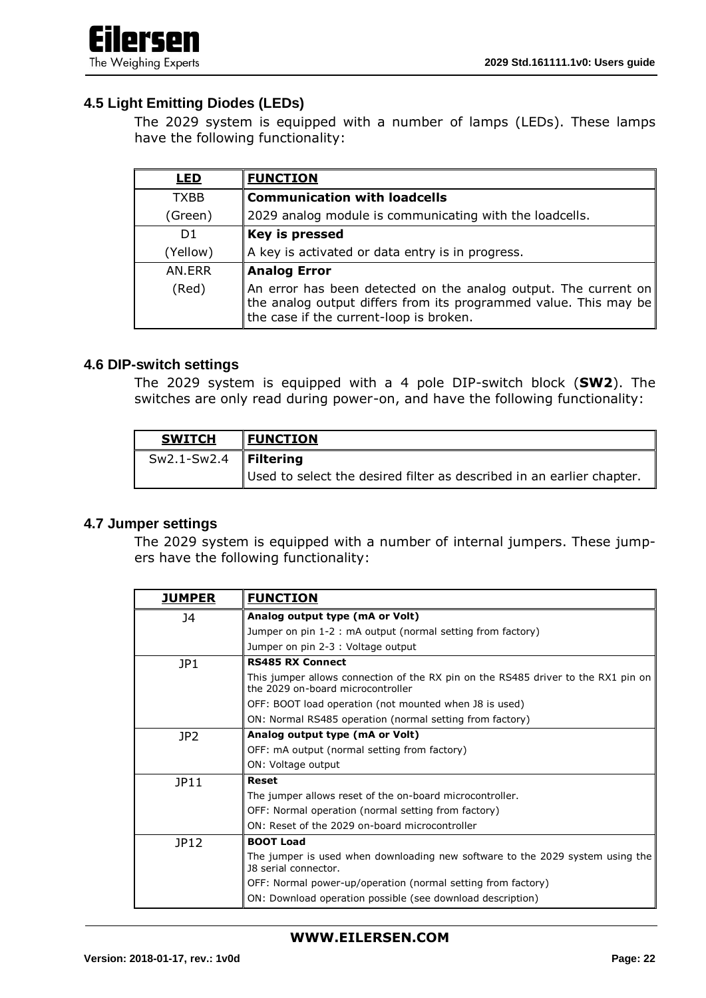

## **4.5 Light Emitting Diodes (LEDs)**

The 2029 system is equipped with a number of lamps (LEDs). These lamps have the following functionality:

| <b>LED</b>  | <b>FUNCTION</b>                                                                                                                                                                |
|-------------|--------------------------------------------------------------------------------------------------------------------------------------------------------------------------------|
| <b>TXBB</b> | <b>Communication with loadcells</b>                                                                                                                                            |
| (Green)     | 2029 analog module is communicating with the loadcells.                                                                                                                        |
| D1          | Key is pressed                                                                                                                                                                 |
| (Yellow)    | A key is activated or data entry is in progress.                                                                                                                               |
| AN.FRR      | <b>Analog Error</b>                                                                                                                                                            |
| (Red)       | An error has been detected on the analog output. The current on<br>the analog output differs from its programmed value. This may be<br>the case if the current-loop is broken. |

#### **4.6 DIP-switch settings**

The 2029 system is equipped with a 4 pole DIP-switch block (**SW2**). The switches are only read during power-on, and have the following functionality:

| <b>SWITCH</b>             | <b>FUNCTION</b>                                                       |
|---------------------------|-----------------------------------------------------------------------|
| $Sw2.1-Sw2.4$   Filtering |                                                                       |
|                           | Used to select the desired filter as described in an earlier chapter. |

#### **4.7 Jumper settings**

The 2029 system is equipped with a number of internal jumpers. These jumpers have the following functionality:

| <b>JUMPER</b>   | <b>FUNCTION</b>                                                                                                        |  |  |
|-----------------|------------------------------------------------------------------------------------------------------------------------|--|--|
| J4              | Analog output type (mA or Volt)                                                                                        |  |  |
|                 | Jumper on pin 1-2 : mA output (normal setting from factory)                                                            |  |  |
|                 | Jumper on pin 2-3 : Voltage output                                                                                     |  |  |
| JP1             | <b>RS485 RX Connect</b>                                                                                                |  |  |
|                 | This jumper allows connection of the RX pin on the RS485 driver to the RX1 pin on<br>the 2029 on-board microcontroller |  |  |
|                 | OFF: BOOT load operation (not mounted when J8 is used)                                                                 |  |  |
|                 | ON: Normal RS485 operation (normal setting from factory)                                                               |  |  |
| JP <sub>2</sub> | Analog output type (mA or Volt)                                                                                        |  |  |
|                 | OFF: mA output (normal setting from factory)                                                                           |  |  |
|                 | ON: Voltage output                                                                                                     |  |  |
| JP11            | <b>Reset</b>                                                                                                           |  |  |
|                 | The jumper allows reset of the on-board microcontroller.                                                               |  |  |
|                 | OFF: Normal operation (normal setting from factory)                                                                    |  |  |
|                 | ON: Reset of the 2029 on-board microcontroller                                                                         |  |  |
| JP12            | <b>BOOT Load</b>                                                                                                       |  |  |
|                 | The jumper is used when downloading new software to the 2029 system using the<br>18 serial connector.                  |  |  |
|                 | OFF: Normal power-up/operation (normal setting from factory)                                                           |  |  |
|                 | ON: Download operation possible (see download description)                                                             |  |  |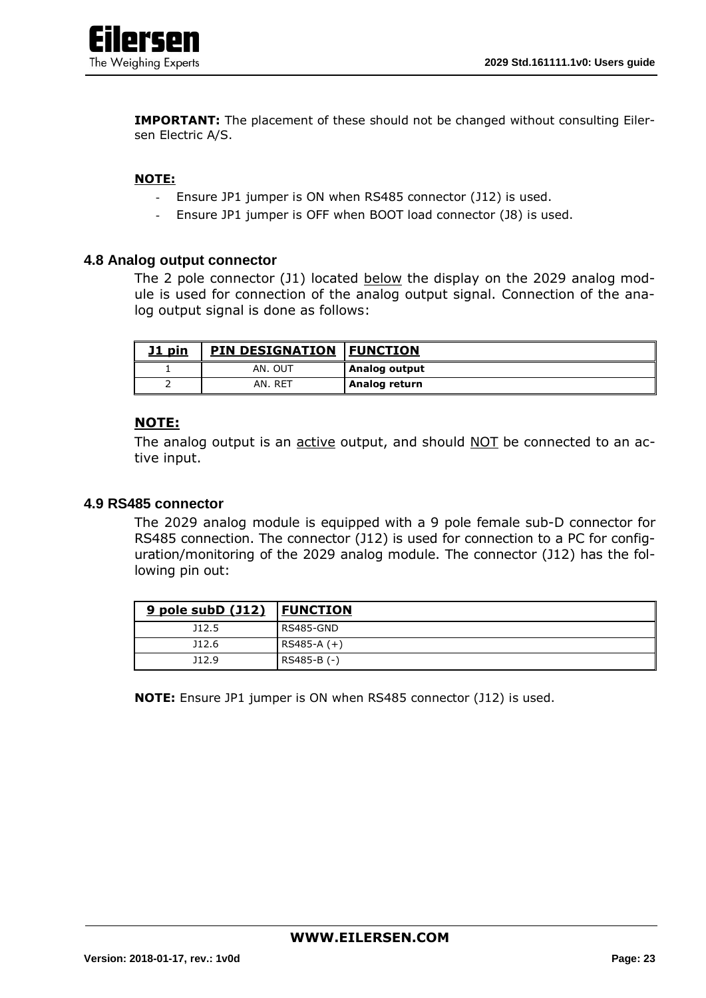

**IMPORTANT:** The placement of these should not be changed without consulting Eilersen Electric A/S.

#### **NOTE:**

- Ensure JP1 jumper is ON when RS485 connector (J12) is used.
- Ensure JP1 jumper is OFF when BOOT load connector (J8) is used.

#### **4.8 Analog output connector**

The 2 pole connector (J1) located below the display on the 2029 analog module is used for connection of the analog output signal. Connection of the analog output signal is done as follows:

| <u>J1 pin</u> | <b>PIN DESIGNATION   FUNCTION</b> |               |
|---------------|-----------------------------------|---------------|
|               | AN. OUT                           | Analog output |
|               | AN. RET                           | Analog return |

#### **NOTE:**

The analog output is an active output, and should NOT be connected to an active input.

#### **4.9 RS485 connector**

The 2029 analog module is equipped with a 9 pole female sub-D connector for RS485 connection. The connector (J12) is used for connection to a PC for configuration/monitoring of the 2029 analog module. The connector (J12) has the following pin out:

| $9$ pole subD $(312)$ | <b>I FUNCTION</b> |
|-----------------------|-------------------|
| J12.5                 | RS485-GND         |
| J12.6                 | $RS485-A (+)$     |
| J12.9                 | RS485-B (-)       |

**NOTE:** Ensure JP1 jumper is ON when RS485 connector (J12) is used.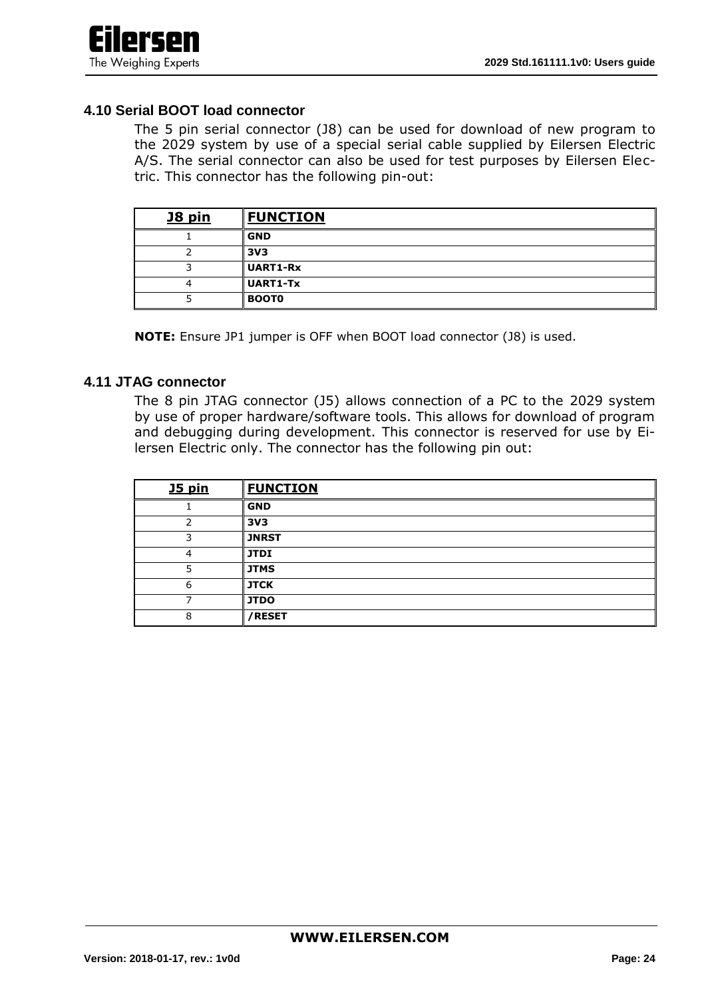

#### **4.10 Serial BOOT load connector**

The 5 pin serial connector (J8) can be used for download of new program to the 2029 system by use of a special serial cable supplied by Eilersen Electric A/S. The serial connector can also be used for test purposes by Eilersen Electric. This connector has the following pin-out:

| <b>J8 pin</b> | <b>FUNCTION</b> |
|---------------|-----------------|
|               | <b>GND</b>      |
|               | 3V <sub>3</sub> |
|               | <b>UART1-Rx</b> |
|               | <b>UART1-Tx</b> |
|               | <b>BOOTO</b>    |

**NOTE:** Ensure JP1 jumper is OFF when BOOT load connector (J8) is used.

#### **4.11 JTAG connector**

The 8 pin JTAG connector (J5) allows connection of a PC to the 2029 system by use of proper hardware/software tools. This allows for download of program and debugging during development. This connector is reserved for use by Eilersen Electric only. The connector has the following pin out:

| <b>J5 pin</b> | <b>FUNCTION</b> |
|---------------|-----------------|
|               | <b>GND</b>      |
| 2             | 3V <sub>3</sub> |
| 3             | <b>JNRST</b>    |
| 4             | <b>JTDI</b>     |
| 5             | <b>JTMS</b>     |
| 6             | <b>JTCK</b>     |
|               | <b>JTDO</b>     |
| ႙             | /RESET          |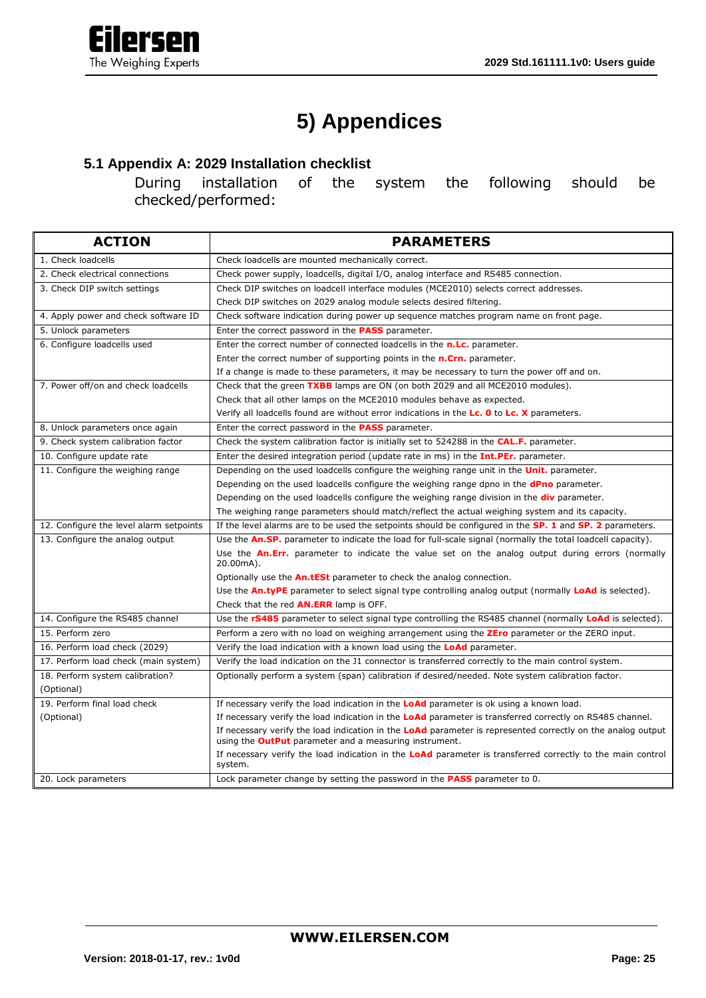

# **5) Appendices**

# **5.1 Appendix A: 2029 Installation checklist**

During installation of the system the following should be checked/performed:

| <b>ACTION</b>                           | <b>PARAMETERS</b>                                                                                                                                                                   |
|-----------------------------------------|-------------------------------------------------------------------------------------------------------------------------------------------------------------------------------------|
| 1. Check loadcells                      | Check loadcells are mounted mechanically correct.                                                                                                                                   |
| 2. Check electrical connections         | Check power supply, loadcells, digital I/O, analog interface and RS485 connection.                                                                                                  |
| 3. Check DIP switch settings            | Check DIP switches on loadcell interface modules (MCE2010) selects correct addresses.                                                                                               |
|                                         | Check DIP switches on 2029 analog module selects desired filtering.                                                                                                                 |
| 4. Apply power and check software ID    | Check software indication during power up sequence matches program name on front page.                                                                                              |
| 5. Unlock parameters                    | Enter the correct password in the PASS parameter.                                                                                                                                   |
| 6. Configure loadcells used             | Enter the correct number of connected loadcells in the <b>n.Lc.</b> parameter.                                                                                                      |
|                                         | Enter the correct number of supporting points in the <b>n.Crn.</b> parameter.                                                                                                       |
|                                         | If a change is made to these parameters, it may be necessary to turn the power off and on.                                                                                          |
| 7. Power off/on and check loadcells     | Check that the green TXBB lamps are ON (on both 2029 and all MCE2010 modules).                                                                                                      |
|                                         | Check that all other lamps on the MCE2010 modules behave as expected.                                                                                                               |
|                                         | Verify all loadcells found are without error indications in the Lc. O to Lc. X parameters.                                                                                          |
| 8. Unlock parameters once again         | Enter the correct password in the PASS parameter.                                                                                                                                   |
| 9. Check system calibration factor      | Check the system calibration factor is initially set to 524288 in the <b>CAL.F.</b> parameter.                                                                                      |
| 10. Configure update rate               | Enter the desired integration period (update rate in ms) in the <b>Int.PEr.</b> parameter.                                                                                          |
| 11. Configure the weighing range        | Depending on the used loadcells configure the weighing range unit in the <b>Unit.</b> parameter.                                                                                    |
|                                         | Depending on the used loadcells configure the weighing range dpno in the <b>dPno</b> parameter.                                                                                     |
|                                         | Depending on the used loadcells configure the weighing range division in the <b>div</b> parameter.                                                                                  |
|                                         | The weighing range parameters should match/reflect the actual weighing system and its capacity.                                                                                     |
| 12. Configure the level alarm setpoints | If the level alarms are to be used the setpoints should be configured in the <b>SP. 1</b> and <b>SP. 2</b> parameters.                                                              |
| 13. Configure the analog output         | Use the <b>An.SP.</b> parameter to indicate the load for full-scale signal (normally the total loadcell capacity).                                                                  |
|                                         | Use the <b>An.Err.</b> parameter to indicate the value set on the analog output during errors (normally<br>$20.00mA$ ).                                                             |
|                                         | Optionally use the <b>An.tESt</b> parameter to check the analog connection.                                                                                                         |
|                                         | Use the <b>An.tyPE</b> parameter to select signal type controlling analog output (normally <b>LoAd</b> is selected).                                                                |
|                                         | Check that the red <b>AN.ERR</b> lamp is OFF.                                                                                                                                       |
| 14. Configure the RS485 channel         | Use the rS485 parameter to select signal type controlling the RS485 channel (normally LoAd is selected).                                                                            |
| 15. Perform zero                        | Perform a zero with no load on weighing arrangement using the ZEro parameter or the ZERO input.                                                                                     |
| 16. Perform load check (2029)           | Verify the load indication with a known load using the <b>LoAd</b> parameter.                                                                                                       |
| 17. Perform load check (main system)    | Verify the load indication on the J1 connector is transferred correctly to the main control system.                                                                                 |
| 18. Perform system calibration?         | Optionally perform a system (span) calibration if desired/needed. Note system calibration factor.                                                                                   |
| (Optional)                              |                                                                                                                                                                                     |
| 19. Perform final load check            | If necessary verify the load indication in the <b>LoAd</b> parameter is ok using a known load.                                                                                      |
| (Optional)                              | If necessary verify the load indication in the <b>LoAd</b> parameter is transferred correctly on RS485 channel.                                                                     |
|                                         | If necessary verify the load indication in the <b>LoAd</b> parameter is represented correctly on the analog output<br>using the <b>OutPut</b> parameter and a measuring instrument. |
|                                         | If necessary verify the load indication in the <b>LoAd</b> parameter is transferred correctly to the main control<br>system.                                                        |
| 20. Lock parameters                     | Lock parameter change by setting the password in the <b>PASS</b> parameter to 0.                                                                                                    |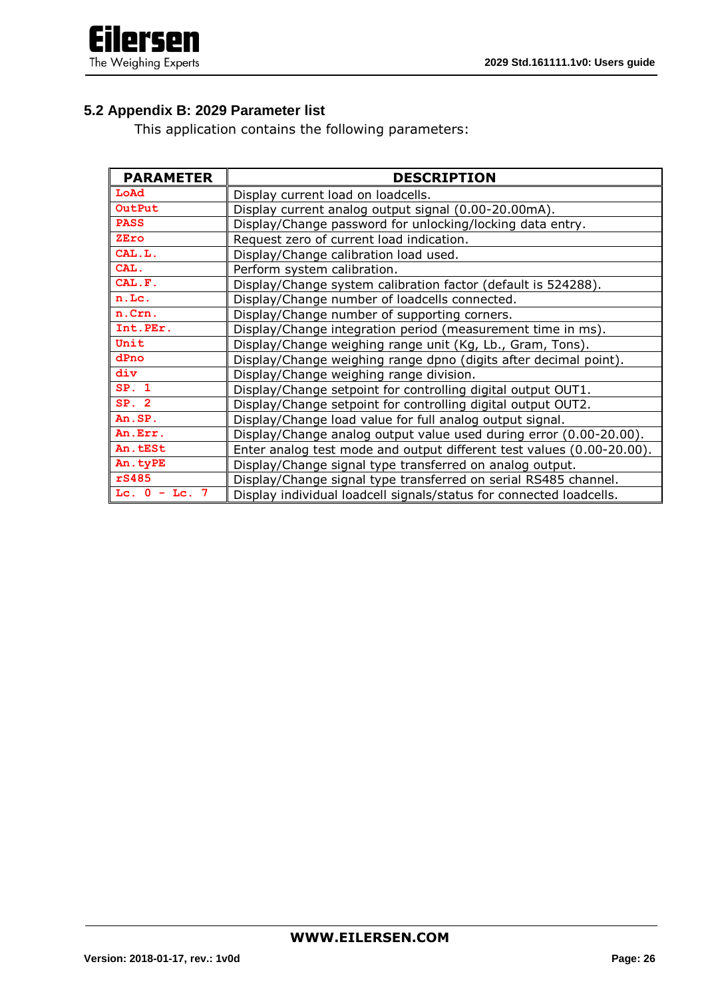

# **5.2 Appendix B: 2029 Parameter list**

This application contains the following parameters:

| <b>PARAMETER</b> | <b>DESCRIPTION</b>                                                    |  |  |  |
|------------------|-----------------------------------------------------------------------|--|--|--|
| LoAd             | Display current load on loadcells.                                    |  |  |  |
| OutPut           | Display current analog output signal (0.00-20.00mA).                  |  |  |  |
| <b>PASS</b>      | Display/Change password for unlocking/locking data entry.             |  |  |  |
| ZEro             | Request zero of current load indication.                              |  |  |  |
| CAL.L.           | Display/Change calibration load used.                                 |  |  |  |
| CAL.             | Perform system calibration.                                           |  |  |  |
| CAL.F.           | Display/Change system calibration factor (default is 524288).         |  |  |  |
| n.Lc.            | Display/Change number of loadcells connected.                         |  |  |  |
| n.Crn.           | Display/Change number of supporting corners.                          |  |  |  |
| Int.PEr.         | Display/Change integration period (measurement time in ms).           |  |  |  |
| Unit             | Display/Change weighing range unit (Kg, Lb., Gram, Tons).             |  |  |  |
| dPno             | Display/Change weighing range dpno (digits after decimal point).      |  |  |  |
| div              | Display/Change weighing range division.                               |  |  |  |
| $SP.$ 1          | Display/Change setpoint for controlling digital output OUT1.          |  |  |  |
| SP.2             | Display/Change setpoint for controlling digital output OUT2.          |  |  |  |
| An.SP.           | Display/Change load value for full analog output signal.              |  |  |  |
| An.Err.          | Display/Change analog output value used during error (0.00-20.00).    |  |  |  |
| An.tESt          | Enter analog test mode and output different test values (0.00-20.00). |  |  |  |
| An.tyPE          | Display/Change signal type transferred on analog output.              |  |  |  |
| rS485            | Display/Change signal type transferred on serial RS485 channel.       |  |  |  |
| Lc. $0 -$ Lc. 7  | Display individual loadcell signals/status for connected loadcells.   |  |  |  |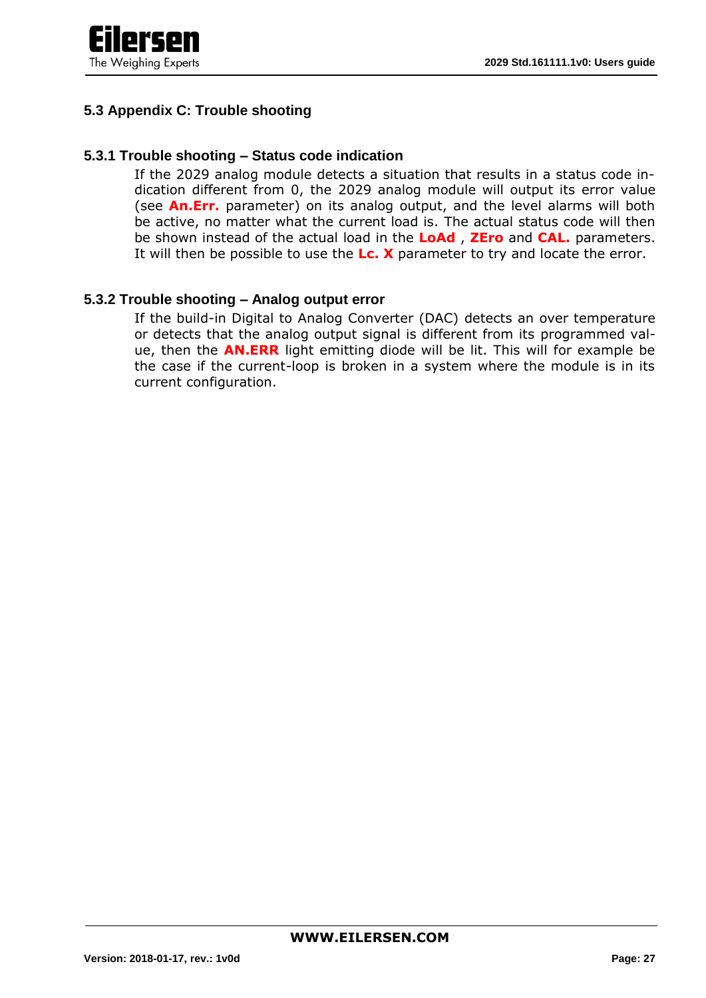

# **5.3 Appendix C: Trouble shooting**

## **5.3.1 Trouble shooting – Status code indication**

If the 2029 analog module detects a situation that results in a status code indication different from 0, the 2029 analog module will output its error value (see **An.Err.** parameter) on its analog output, and the level alarms will both be active, no matter what the current load is. The actual status code will then be shown instead of the actual load in the **LoAd** , **ZEro** and **CAL.** parameters. It will then be possible to use the **Lc. X** parameter to try and locate the error.

#### **5.3.2 Trouble shooting – Analog output error**

If the build-in Digital to Analog Converter (DAC) detects an over temperature or detects that the analog output signal is different from its programmed value, then the **AN.ERR** light emitting diode will be lit. This will for example be the case if the current-loop is broken in a system where the module is in its current configuration.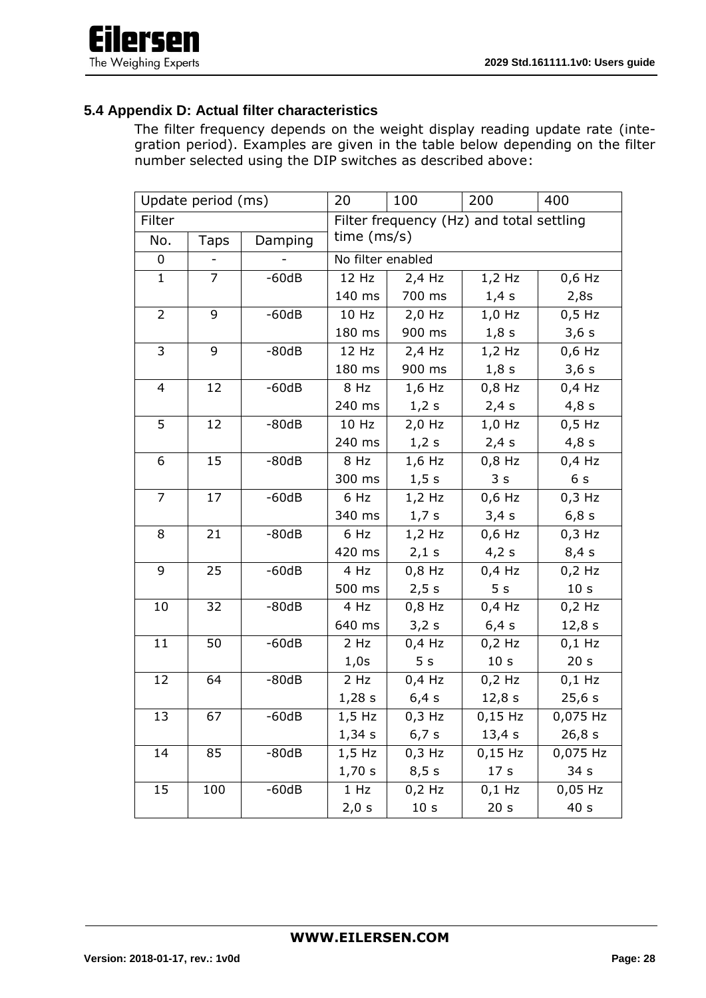

### **5.4 Appendix D: Actual filter characteristics**

The filter frequency depends on the weight display reading update rate (integration period). Examples are given in the table below depending on the filter number selected using the DIP switches as described above:

| Update period (ms) |             | 20      | 100                                      | 200             | 400             |                 |
|--------------------|-------------|---------|------------------------------------------|-----------------|-----------------|-----------------|
| Filter             |             |         | Filter frequency (Hz) and total settling |                 |                 |                 |
| No.                | <b>Taps</b> | Damping | time (ms/s)                              |                 |                 |                 |
| 0                  |             |         | No filter enabled                        |                 |                 |                 |
| $\mathbf{1}$       | 7           | $-60dB$ | 12 Hz                                    | $2,4$ Hz        | $1,2$ Hz        | $0,6$ Hz        |
|                    |             |         | 140 ms                                   | 700 ms          | 1,4 s           | 2,8s            |
| 2                  | 9           | $-60dB$ | 10 Hz                                    | $2,0$ Hz        | $1,0$ Hz        | $0,5$ Hz        |
|                    |             |         | 180 ms                                   | 900 ms          | 1,8 s           | 3,6 s           |
| 3                  | 9           | $-80dB$ | 12 Hz                                    | $2,4$ Hz        | $1,2$ Hz        | $0,6$ Hz        |
|                    |             |         | 180 ms                                   | 900 ms          | 1,8s            | 3,6 s           |
| 4                  | 12          | $-60dB$ | 8 Hz                                     | $1,6$ Hz        | $0,8$ Hz        | $0,4$ Hz        |
|                    |             |         | 240 ms                                   | 1,2s            | 2,4s            | 4,8 s           |
| 5                  | 12          | $-80dB$ | 10 Hz                                    | $2,0$ Hz        | $1,0$ Hz        | $0,5$ Hz        |
|                    |             |         | 240 ms                                   | 1,2 s           | 2,4s            | 4,8 s           |
| 6                  | 15          | $-80dB$ | 8 Hz                                     | $1,6$ Hz        | $0,8$ Hz        | $0,4$ Hz        |
|                    |             |         | 300 ms                                   | 1,5 s           | 3 <sub>s</sub>  | 6 <sub>s</sub>  |
| $\overline{7}$     | 17          | $-60dB$ | 6 Hz                                     | $1,2$ Hz        | $0,6$ Hz        | $0,3$ Hz        |
|                    |             |         | 340 ms                                   | 1,7 s           | 3,4s            | 6,8 s           |
| 8                  | 21          | $-80dB$ | 6 Hz                                     | $1,2$ Hz        | $0,6$ Hz        | $0,3$ Hz        |
|                    |             |         | 420 ms                                   | 2,1 s           | 4,2 s           | 8,4 s           |
| 9                  | 25          | $-60dB$ | 4 Hz                                     | $0,8$ Hz        | $0,4$ Hz        | $0,2$ Hz        |
|                    |             |         | 500 ms                                   | 2,5 s           | 5 <sub>s</sub>  | 10 <sub>s</sub> |
| 10                 | 32          | $-80dB$ | 4 Hz                                     | $0,8$ Hz        | $0,4$ Hz        | $0,2$ Hz        |
|                    |             |         | 640 ms                                   | 3,2 s           | 6,4 s           | 12,8s           |
| 11                 | 50          | $-60dB$ | $2$ Hz                                   | $0,4$ Hz        | $0,2$ Hz        | $0,1$ Hz        |
|                    |             |         | 1,0s                                     | 5 <sub>s</sub>  | 10 <sub>s</sub> | 20 <sub>s</sub> |
| 12                 | 64          | $-80dB$ | $2$ Hz                                   | $0,4$ Hz        | $0,2$ Hz        | $0,1$ Hz        |
|                    |             |         | 1,28 s                                   | 6,4 s           | 12,8 s          | 25,6 s          |
| 13                 | 67          | $-60dB$ | $1,5$ Hz                                 | $0,3$ Hz        | $0,15$ Hz       | 0,075 Hz        |
|                    |             |         | 1,34 s                                   | 6,7 s           | 13,4 s          | 26,8 s          |
| 14                 | 85          | $-80dB$ | $1,5$ Hz                                 | $0,3$ Hz        | $0,15$ Hz       | 0,075 Hz        |
|                    |             |         | 1,70 s                                   | 8,5 s           | 17 <sub>s</sub> | 34 s            |
| 15                 | 100         | $-60dB$ | 1 Hz                                     | $0,2$ Hz        | $0,1$ Hz        | $0,05$ Hz       |
|                    |             |         | 2,0 s                                    | 10 <sub>s</sub> | 20 <sub>s</sub> | 40 <sub>s</sub> |